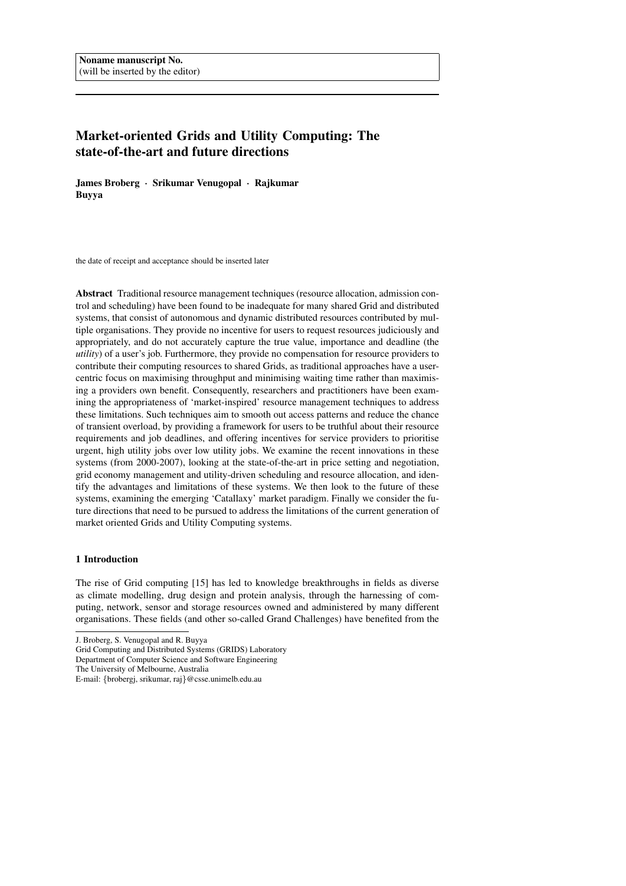# Market-oriented Grids and Utility Computing: The state-of-the-art and future directions

James Broberg · Srikumar Venugopal · Rajkumar Buyya

the date of receipt and acceptance should be inserted later

Abstract Traditional resource management techniques (resource allocation, admission control and scheduling) have been found to be inadequate for many shared Grid and distributed systems, that consist of autonomous and dynamic distributed resources contributed by multiple organisations. They provide no incentive for users to request resources judiciously and appropriately, and do not accurately capture the true value, importance and deadline (the *utility*) of a user's job. Furthermore, they provide no compensation for resource providers to contribute their computing resources to shared Grids, as traditional approaches have a usercentric focus on maximising throughput and minimising waiting time rather than maximising a providers own benefit. Consequently, researchers and practitioners have been examining the appropriateness of 'market-inspired' resource management techniques to address these limitations. Such techniques aim to smooth out access patterns and reduce the chance of transient overload, by providing a framework for users to be truthful about their resource requirements and job deadlines, and offering incentives for service providers to prioritise urgent, high utility jobs over low utility jobs. We examine the recent innovations in these systems (from 2000-2007), looking at the state-of-the-art in price setting and negotiation, grid economy management and utility-driven scheduling and resource allocation, and identify the advantages and limitations of these systems. We then look to the future of these systems, examining the emerging 'Catallaxy' market paradigm. Finally we consider the future directions that need to be pursued to address the limitations of the current generation of market oriented Grids and Utility Computing systems.

# 1 Introduction

The rise of Grid computing [15] has led to knowledge breakthroughs in fields as diverse as climate modelling, drug design and protein analysis, through the harnessing of computing, network, sensor and storage resources owned and administered by many different organisations. These fields (and other so-called Grand Challenges) have benefited from the

J. Broberg, S. Venugopal and R. Buyya

Grid Computing and Distributed Systems (GRIDS) Laboratory

Department of Computer Science and Software Engineering

The University of Melbourne, Australia

E-mail: {brobergj, srikumar, raj}@csse.unimelb.edu.au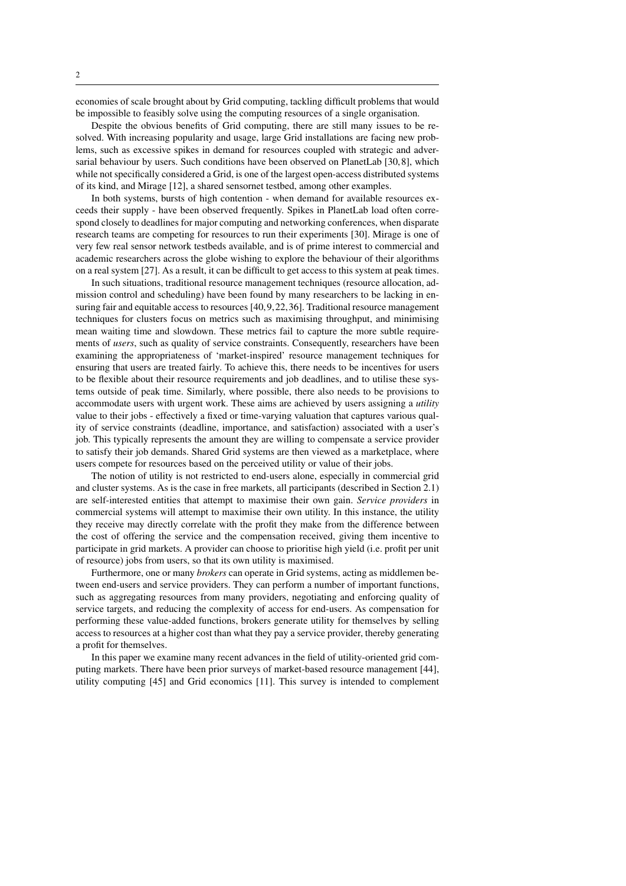economies of scale brought about by Grid computing, tackling difficult problems that would be impossible to feasibly solve using the computing resources of a single organisation.

Despite the obvious benefits of Grid computing, there are still many issues to be resolved. With increasing popularity and usage, large Grid installations are facing new problems, such as excessive spikes in demand for resources coupled with strategic and adversarial behaviour by users. Such conditions have been observed on PlanetLab [30, 8], which while not specifically considered a Grid, is one of the largest open-access distributed systems of its kind, and Mirage [12], a shared sensornet testbed, among other examples.

In both systems, bursts of high contention - when demand for available resources exceeds their supply - have been observed frequently. Spikes in PlanetLab load often correspond closely to deadlines for major computing and networking conferences, when disparate research teams are competing for resources to run their experiments [30]. Mirage is one of very few real sensor network testbeds available, and is of prime interest to commercial and academic researchers across the globe wishing to explore the behaviour of their algorithms on a real system [27]. As a result, it can be difficult to get access to this system at peak times.

In such situations, traditional resource management techniques (resource allocation, admission control and scheduling) have been found by many researchers to be lacking in ensuring fair and equitable access to resources [40, 9, 22, 36]. Traditional resource management techniques for clusters focus on metrics such as maximising throughput, and minimising mean waiting time and slowdown. These metrics fail to capture the more subtle requirements of *users*, such as quality of service constraints. Consequently, researchers have been examining the appropriateness of 'market-inspired' resource management techniques for ensuring that users are treated fairly. To achieve this, there needs to be incentives for users to be flexible about their resource requirements and job deadlines, and to utilise these systems outside of peak time. Similarly, where possible, there also needs to be provisions to accommodate users with urgent work. These aims are achieved by users assigning a *utility* value to their jobs - effectively a fixed or time-varying valuation that captures various quality of service constraints (deadline, importance, and satisfaction) associated with a user's job. This typically represents the amount they are willing to compensate a service provider to satisfy their job demands. Shared Grid systems are then viewed as a marketplace, where users compete for resources based on the perceived utility or value of their jobs.

The notion of utility is not restricted to end-users alone, especially in commercial grid and cluster systems. As is the case in free markets, all participants (described in Section 2.1) are self-interested entities that attempt to maximise their own gain. *Service providers* in commercial systems will attempt to maximise their own utility. In this instance, the utility they receive may directly correlate with the profit they make from the difference between the cost of offering the service and the compensation received, giving them incentive to participate in grid markets. A provider can choose to prioritise high yield (i.e. profit per unit of resource) jobs from users, so that its own utility is maximised.

Furthermore, one or many *brokers* can operate in Grid systems, acting as middlemen between end-users and service providers. They can perform a number of important functions, such as aggregating resources from many providers, negotiating and enforcing quality of service targets, and reducing the complexity of access for end-users. As compensation for performing these value-added functions, brokers generate utility for themselves by selling access to resources at a higher cost than what they pay a service provider, thereby generating a profit for themselves.

In this paper we examine many recent advances in the field of utility-oriented grid computing markets. There have been prior surveys of market-based resource management [44], utility computing [45] and Grid economics [11]. This survey is intended to complement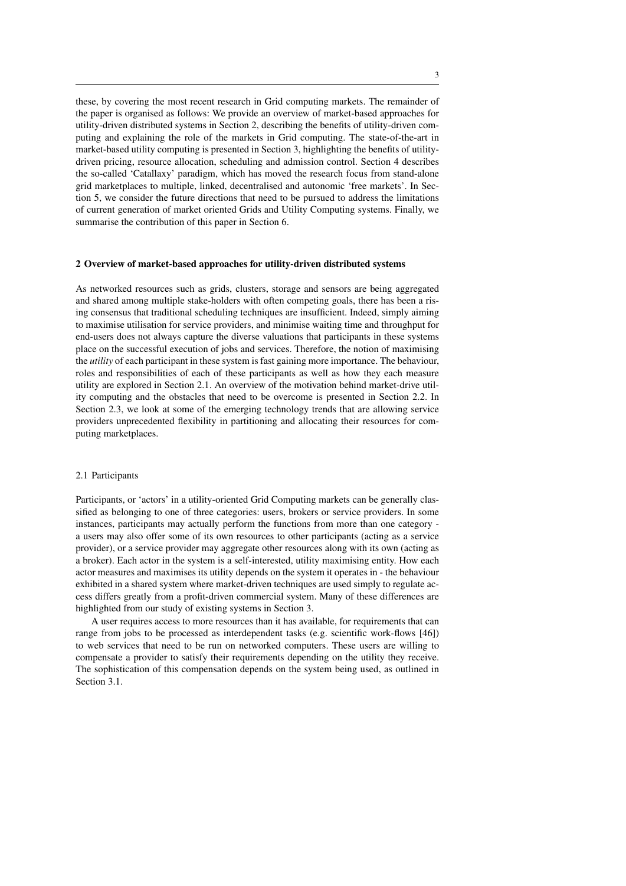these, by covering the most recent research in Grid computing markets. The remainder of the paper is organised as follows: We provide an overview of market-based approaches for utility-driven distributed systems in Section 2, describing the benefits of utility-driven computing and explaining the role of the markets in Grid computing. The state-of-the-art in market-based utility computing is presented in Section 3, highlighting the benefits of utilitydriven pricing, resource allocation, scheduling and admission control. Section 4 describes the so-called 'Catallaxy' paradigm, which has moved the research focus from stand-alone grid marketplaces to multiple, linked, decentralised and autonomic 'free markets'. In Section 5, we consider the future directions that need to be pursued to address the limitations of current generation of market oriented Grids and Utility Computing systems. Finally, we summarise the contribution of this paper in Section 6.

#### 2 Overview of market-based approaches for utility-driven distributed systems

As networked resources such as grids, clusters, storage and sensors are being aggregated and shared among multiple stake-holders with often competing goals, there has been a rising consensus that traditional scheduling techniques are insufficient. Indeed, simply aiming to maximise utilisation for service providers, and minimise waiting time and throughput for end-users does not always capture the diverse valuations that participants in these systems place on the successful execution of jobs and services. Therefore, the notion of maximising the *utility* of each participant in these system is fast gaining more importance. The behaviour, roles and responsibilities of each of these participants as well as how they each measure utility are explored in Section 2.1. An overview of the motivation behind market-drive utility computing and the obstacles that need to be overcome is presented in Section 2.2. In Section 2.3, we look at some of the emerging technology trends that are allowing service providers unprecedented flexibility in partitioning and allocating their resources for computing marketplaces.

#### 2.1 Participants

Participants, or 'actors' in a utility-oriented Grid Computing markets can be generally classified as belonging to one of three categories: users, brokers or service providers. In some instances, participants may actually perform the functions from more than one category a users may also offer some of its own resources to other participants (acting as a service provider), or a service provider may aggregate other resources along with its own (acting as a broker). Each actor in the system is a self-interested, utility maximising entity. How each actor measures and maximises its utility depends on the system it operates in - the behaviour exhibited in a shared system where market-driven techniques are used simply to regulate access differs greatly from a profit-driven commercial system. Many of these differences are highlighted from our study of existing systems in Section 3.

A user requires access to more resources than it has available, for requirements that can range from jobs to be processed as interdependent tasks (e.g. scientific work-flows [46]) to web services that need to be run on networked computers. These users are willing to compensate a provider to satisfy their requirements depending on the utility they receive. The sophistication of this compensation depends on the system being used, as outlined in Section 3.1.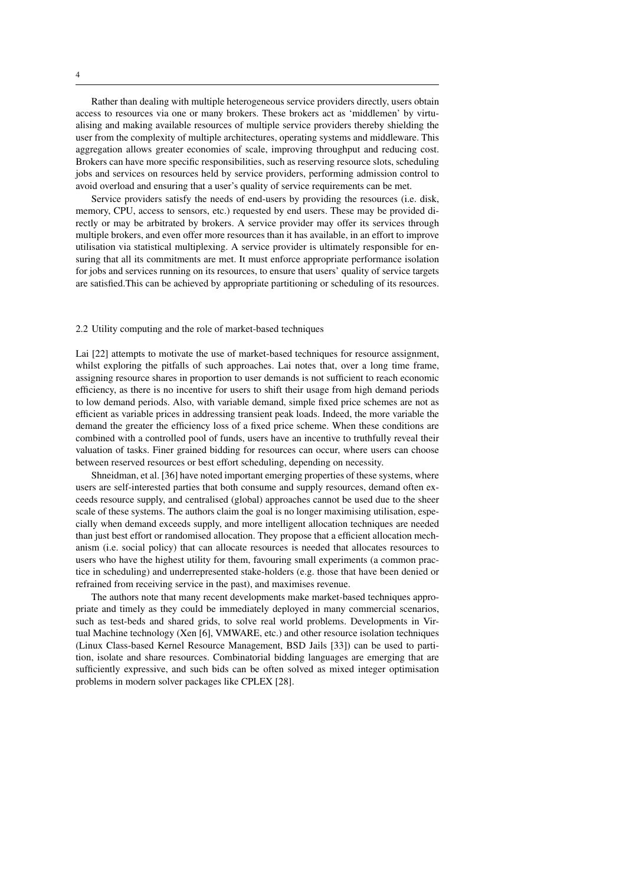Rather than dealing with multiple heterogeneous service providers directly, users obtain access to resources via one or many brokers. These brokers act as 'middlemen' by virtualising and making available resources of multiple service providers thereby shielding the user from the complexity of multiple architectures, operating systems and middleware. This aggregation allows greater economies of scale, improving throughput and reducing cost. Brokers can have more specific responsibilities, such as reserving resource slots, scheduling jobs and services on resources held by service providers, performing admission control to avoid overload and ensuring that a user's quality of service requirements can be met.

Service providers satisfy the needs of end-users by providing the resources (i.e. disk, memory, CPU, access to sensors, etc.) requested by end users. These may be provided directly or may be arbitrated by brokers. A service provider may offer its services through multiple brokers, and even offer more resources than it has available, in an effort to improve utilisation via statistical multiplexing. A service provider is ultimately responsible for ensuring that all its commitments are met. It must enforce appropriate performance isolation for jobs and services running on its resources, to ensure that users' quality of service targets are satisfied.This can be achieved by appropriate partitioning or scheduling of its resources.

#### 2.2 Utility computing and the role of market-based techniques

Lai [22] attempts to motivate the use of market-based techniques for resource assignment, whilst exploring the pitfalls of such approaches. Lai notes that, over a long time frame, assigning resource shares in proportion to user demands is not sufficient to reach economic efficiency, as there is no incentive for users to shift their usage from high demand periods to low demand periods. Also, with variable demand, simple fixed price schemes are not as efficient as variable prices in addressing transient peak loads. Indeed, the more variable the demand the greater the efficiency loss of a fixed price scheme. When these conditions are combined with a controlled pool of funds, users have an incentive to truthfully reveal their valuation of tasks. Finer grained bidding for resources can occur, where users can choose between reserved resources or best effort scheduling, depending on necessity.

Shneidman, et al. [36] have noted important emerging properties of these systems, where users are self-interested parties that both consume and supply resources, demand often exceeds resource supply, and centralised (global) approaches cannot be used due to the sheer scale of these systems. The authors claim the goal is no longer maximising utilisation, especially when demand exceeds supply, and more intelligent allocation techniques are needed than just best effort or randomised allocation. They propose that a efficient allocation mechanism (i.e. social policy) that can allocate resources is needed that allocates resources to users who have the highest utility for them, favouring small experiments (a common practice in scheduling) and underrepresented stake-holders (e.g. those that have been denied or refrained from receiving service in the past), and maximises revenue.

The authors note that many recent developments make market-based techniques appropriate and timely as they could be immediately deployed in many commercial scenarios, such as test-beds and shared grids, to solve real world problems. Developments in Virtual Machine technology (Xen [6], VMWARE, etc.) and other resource isolation techniques (Linux Class-based Kernel Resource Management, BSD Jails [33]) can be used to partition, isolate and share resources. Combinatorial bidding languages are emerging that are sufficiently expressive, and such bids can be often solved as mixed integer optimisation problems in modern solver packages like CPLEX [28].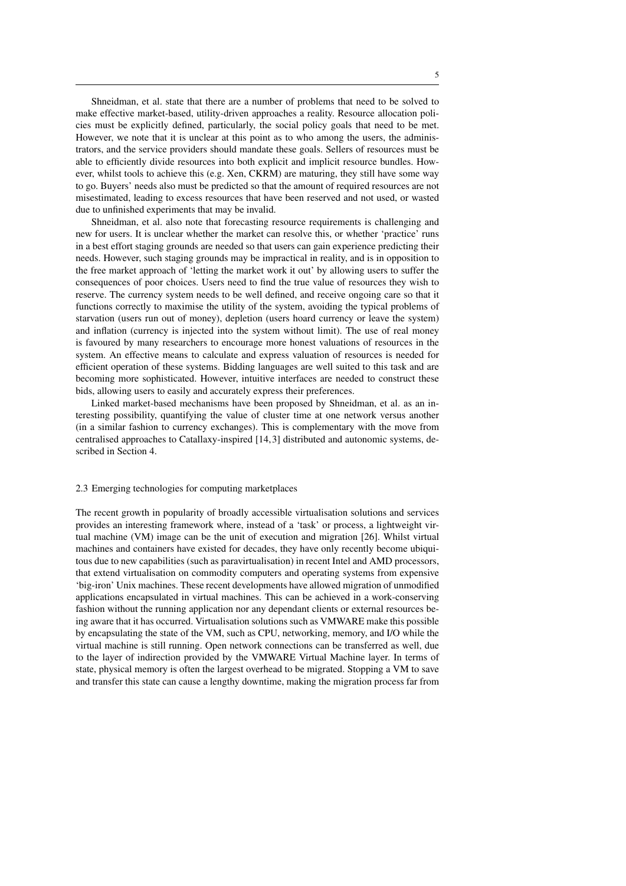Shneidman, et al. state that there are a number of problems that need to be solved to make effective market-based, utility-driven approaches a reality. Resource allocation policies must be explicitly defined, particularly, the social policy goals that need to be met. However, we note that it is unclear at this point as to who among the users, the administrators, and the service providers should mandate these goals. Sellers of resources must be able to efficiently divide resources into both explicit and implicit resource bundles. However, whilst tools to achieve this (e.g. Xen, CKRM) are maturing, they still have some way to go. Buyers' needs also must be predicted so that the amount of required resources are not misestimated, leading to excess resources that have been reserved and not used, or wasted due to unfinished experiments that may be invalid.

Shneidman, et al. also note that forecasting resource requirements is challenging and new for users. It is unclear whether the market can resolve this, or whether 'practice' runs in a best effort staging grounds are needed so that users can gain experience predicting their needs. However, such staging grounds may be impractical in reality, and is in opposition to the free market approach of 'letting the market work it out' by allowing users to suffer the consequences of poor choices. Users need to find the true value of resources they wish to reserve. The currency system needs to be well defined, and receive ongoing care so that it functions correctly to maximise the utility of the system, avoiding the typical problems of starvation (users run out of money), depletion (users hoard currency or leave the system) and inflation (currency is injected into the system without limit). The use of real money is favoured by many researchers to encourage more honest valuations of resources in the system. An effective means to calculate and express valuation of resources is needed for efficient operation of these systems. Bidding languages are well suited to this task and are becoming more sophisticated. However, intuitive interfaces are needed to construct these bids, allowing users to easily and accurately express their preferences.

Linked market-based mechanisms have been proposed by Shneidman, et al. as an interesting possibility, quantifying the value of cluster time at one network versus another (in a similar fashion to currency exchanges). This is complementary with the move from centralised approaches to Catallaxy-inspired [14, 3] distributed and autonomic systems, described in Section 4.

#### 2.3 Emerging technologies for computing marketplaces

The recent growth in popularity of broadly accessible virtualisation solutions and services provides an interesting framework where, instead of a 'task' or process, a lightweight virtual machine (VM) image can be the unit of execution and migration [26]. Whilst virtual machines and containers have existed for decades, they have only recently become ubiquitous due to new capabilities (such as paravirtualisation) in recent Intel and AMD processors, that extend virtualisation on commodity computers and operating systems from expensive 'big-iron' Unix machines. These recent developments have allowed migration of unmodified applications encapsulated in virtual machines. This can be achieved in a work-conserving fashion without the running application nor any dependant clients or external resources being aware that it has occurred. Virtualisation solutions such as VMWARE make this possible by encapsulating the state of the VM, such as CPU, networking, memory, and I/O while the virtual machine is still running. Open network connections can be transferred as well, due to the layer of indirection provided by the VMWARE Virtual Machine layer. In terms of state, physical memory is often the largest overhead to be migrated. Stopping a VM to save and transfer this state can cause a lengthy downtime, making the migration process far from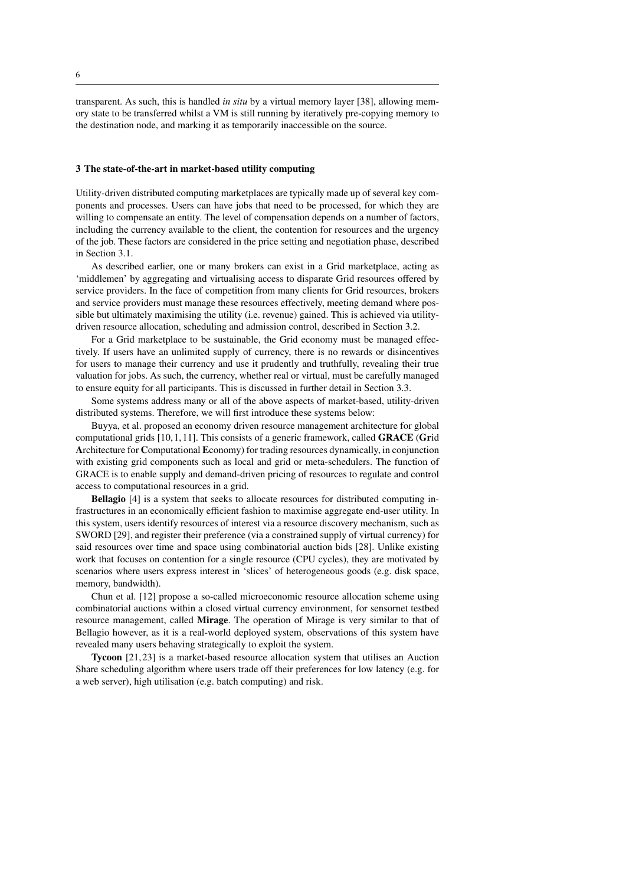transparent. As such, this is handled *in situ* by a virtual memory layer [38], allowing memory state to be transferred whilst a VM is still running by iteratively pre-copying memory to the destination node, and marking it as temporarily inaccessible on the source.

## 3 The state-of-the-art in market-based utility computing

Utility-driven distributed computing marketplaces are typically made up of several key components and processes. Users can have jobs that need to be processed, for which they are willing to compensate an entity. The level of compensation depends on a number of factors, including the currency available to the client, the contention for resources and the urgency of the job. These factors are considered in the price setting and negotiation phase, described in Section 3.1.

As described earlier, one or many brokers can exist in a Grid marketplace, acting as 'middlemen' by aggregating and virtualising access to disparate Grid resources offered by service providers. In the face of competition from many clients for Grid resources, brokers and service providers must manage these resources effectively, meeting demand where possible but ultimately maximising the utility (i.e. revenue) gained. This is achieved via utilitydriven resource allocation, scheduling and admission control, described in Section 3.2.

For a Grid marketplace to be sustainable, the Grid economy must be managed effectively. If users have an unlimited supply of currency, there is no rewards or disincentives for users to manage their currency and use it prudently and truthfully, revealing their true valuation for jobs. As such, the currency, whether real or virtual, must be carefully managed to ensure equity for all participants. This is discussed in further detail in Section 3.3.

Some systems address many or all of the above aspects of market-based, utility-driven distributed systems. Therefore, we will first introduce these systems below:

Buyya, et al. proposed an economy driven resource management architecture for global computational grids [10, 1, 11]. This consists of a generic framework, called GRACE (Grid Architecture for Computational Economy) for trading resources dynamically, in conjunction with existing grid components such as local and grid or meta-schedulers. The function of GRACE is to enable supply and demand-driven pricing of resources to regulate and control access to computational resources in a grid.

Bellagio [4] is a system that seeks to allocate resources for distributed computing infrastructures in an economically efficient fashion to maximise aggregate end-user utility. In this system, users identify resources of interest via a resource discovery mechanism, such as SWORD [29], and register their preference (via a constrained supply of virtual currency) for said resources over time and space using combinatorial auction bids [28]. Unlike existing work that focuses on contention for a single resource (CPU cycles), they are motivated by scenarios where users express interest in 'slices' of heterogeneous goods (e.g. disk space, memory, bandwidth).

Chun et al. [12] propose a so-called microeconomic resource allocation scheme using combinatorial auctions within a closed virtual currency environment, for sensornet testbed resource management, called Mirage. The operation of Mirage is very similar to that of Bellagio however, as it is a real-world deployed system, observations of this system have revealed many users behaving strategically to exploit the system.

Tycoon [21, 23] is a market-based resource allocation system that utilises an Auction Share scheduling algorithm where users trade off their preferences for low latency (e.g. for a web server), high utilisation (e.g. batch computing) and risk.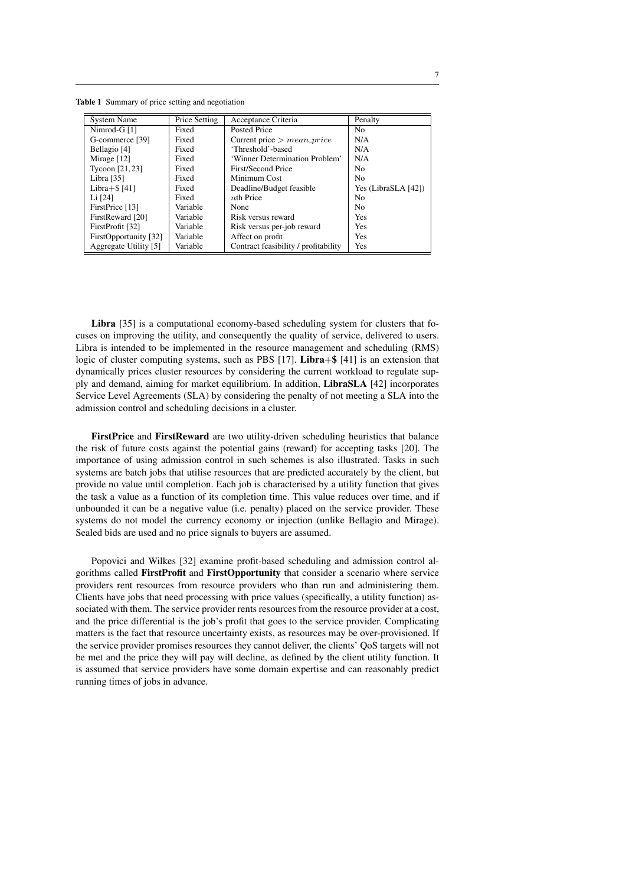Table 1 Summary of price setting and negotiation

| <b>System Name</b>    | Price Setting | Acceptance Criteria                  | Penalty             |
|-----------------------|---------------|--------------------------------------|---------------------|
| Nimrod-G [1]          | Fixed         | Posted Price                         | No.                 |
| G-commerce [39]       | Fixed         | Current price $>$ mean_price         | N/A                 |
| Bellagio [4]          | Fixed         | 'Threshold'-based                    | N/A                 |
| Mirage $[12]$         | Fixed         | 'Winner Determination Problem'       | N/A                 |
| Tycoon $[21, 23]$     | Fixed         | First/Second Price                   | No.                 |
| Libra $[35]$          | Fixed         | Minimum Cost                         | No                  |
| Libra $+$ \$ [41]     | Fixed         | Deadline/Budget feasible             | Yes (LibraSLA [42]) |
| Li [24]               | Fixed         | $n$ th Price                         | No                  |
| FirstPrice [13]       | Variable      | None                                 | No                  |
| FirstReward [20]      | Variable      | Risk versus reward                   | Yes                 |
| FirstProfit [32]      | Variable      | Risk versus per-job reward           | Yes                 |
| FirstOpportunity [32] | Variable      | Affect on profit                     | <b>Yes</b>          |
| Aggregate Utility [5] | Variable      | Contract feasibility / profitability | Yes                 |

Libra [35] is a computational economy-based scheduling system for clusters that focuses on improving the utility, and consequently the quality of service, delivered to users. Libra is intended to be implemented in the resource management and scheduling (RMS) logic of cluster computing systems, such as PBS [17]. Libra+\$ [41] is an extension that dynamically prices cluster resources by considering the current workload to regulate supply and demand, aiming for market equilibrium. In addition, LibraSLA [42] incorporates Service Level Agreements (SLA) by considering the penalty of not meeting a SLA into the admission control and scheduling decisions in a cluster.

FirstPrice and FirstReward are two utility-driven scheduling heuristics that balance the risk of future costs against the potential gains (reward) for accepting tasks [20]. The importance of using admission control in such schemes is also illustrated. Tasks in such systems are batch jobs that utilise resources that are predicted accurately by the client, but provide no value until completion. Each job is characterised by a utility function that gives the task a value as a function of its completion time. This value reduces over time, and if unbounded it can be a negative value (i.e. penalty) placed on the service provider. These systems do not model the currency economy or injection (unlike Bellagio and Mirage). Sealed bids are used and no price signals to buyers are assumed.

Popovici and Wilkes [32] examine profit-based scheduling and admission control algorithms called FirstProfit and FirstOpportunity that consider a scenario where service providers rent resources from resource providers who than run and administering them. Clients have jobs that need processing with price values (specifically, a utility function) associated with them. The service provider rents resources from the resource provider at a cost, and the price differential is the job's profit that goes to the service provider. Complicating matters is the fact that resource uncertainty exists, as resources may be over-provisioned. If the service provider promises resources they cannot deliver, the clients' QoS targets will not be met and the price they will pay will decline, as defined by the client utility function. It is assumed that service providers have some domain expertise and can reasonably predict running times of jobs in advance.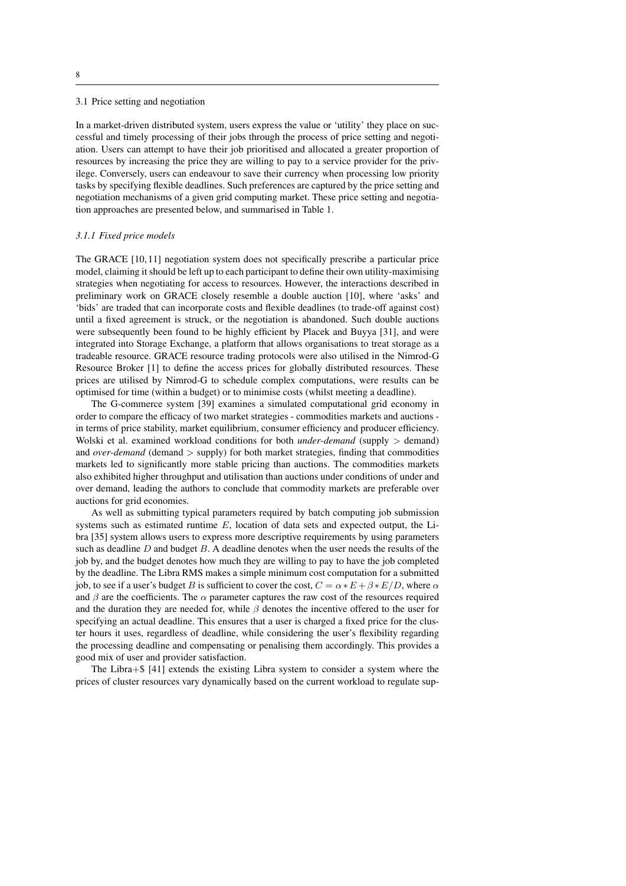#### 3.1 Price setting and negotiation

In a market-driven distributed system, users express the value or 'utility' they place on successful and timely processing of their jobs through the process of price setting and negotiation. Users can attempt to have their job prioritised and allocated a greater proportion of resources by increasing the price they are willing to pay to a service provider for the privilege. Conversely, users can endeavour to save their currency when processing low priority tasks by specifying flexible deadlines. Such preferences are captured by the price setting and negotiation mechanisms of a given grid computing market. These price setting and negotiation approaches are presented below, and summarised in Table 1.

### *3.1.1 Fixed price models*

The GRACE [10, 11] negotiation system does not specifically prescribe a particular price model, claiming it should be left up to each participant to define their own utility-maximising strategies when negotiating for access to resources. However, the interactions described in preliminary work on GRACE closely resemble a double auction [10], where 'asks' and 'bids' are traded that can incorporate costs and flexible deadlines (to trade-off against cost) until a fixed agreement is struck, or the negotiation is abandoned. Such double auctions were subsequently been found to be highly efficient by Placek and Buyya [31], and were integrated into Storage Exchange, a platform that allows organisations to treat storage as a tradeable resource. GRACE resource trading protocols were also utilised in the Nimrod-G Resource Broker [1] to define the access prices for globally distributed resources. These prices are utilised by Nimrod-G to schedule complex computations, were results can be optimised for time (within a budget) or to minimise costs (whilst meeting a deadline).

The G-commerce system [39] examines a simulated computational grid economy in order to compare the efficacy of two market strategies - commodities markets and auctions in terms of price stability, market equilibrium, consumer efficiency and producer efficiency. Wolski et al. examined workload conditions for both *under-demand* (supply > demand) and *over-demand* (demand > supply) for both market strategies, finding that commodities markets led to significantly more stable pricing than auctions. The commodities markets also exhibited higher throughput and utilisation than auctions under conditions of under and over demand, leading the authors to conclude that commodity markets are preferable over auctions for grid economies.

As well as submitting typical parameters required by batch computing job submission systems such as estimated runtime  $E$ , location of data sets and expected output, the Libra [35] system allows users to express more descriptive requirements by using parameters such as deadline  $D$  and budget  $B$ . A deadline denotes when the user needs the results of the job by, and the budget denotes how much they are willing to pay to have the job completed by the deadline. The Libra RMS makes a simple minimum cost computation for a submitted job, to see if a user's budget B is sufficient to cover the cost,  $C = \alpha * E + \beta * E/D$ , where  $\alpha$ and  $\beta$  are the coefficients. The  $\alpha$  parameter captures the raw cost of the resources required and the duration they are needed for, while  $\beta$  denotes the incentive offered to the user for specifying an actual deadline. This ensures that a user is charged a fixed price for the cluster hours it uses, regardless of deadline, while considering the user's flexibility regarding the processing deadline and compensating or penalising them accordingly. This provides a good mix of user and provider satisfaction.

The Libra+\$ [41] extends the existing Libra system to consider a system where the prices of cluster resources vary dynamically based on the current workload to regulate sup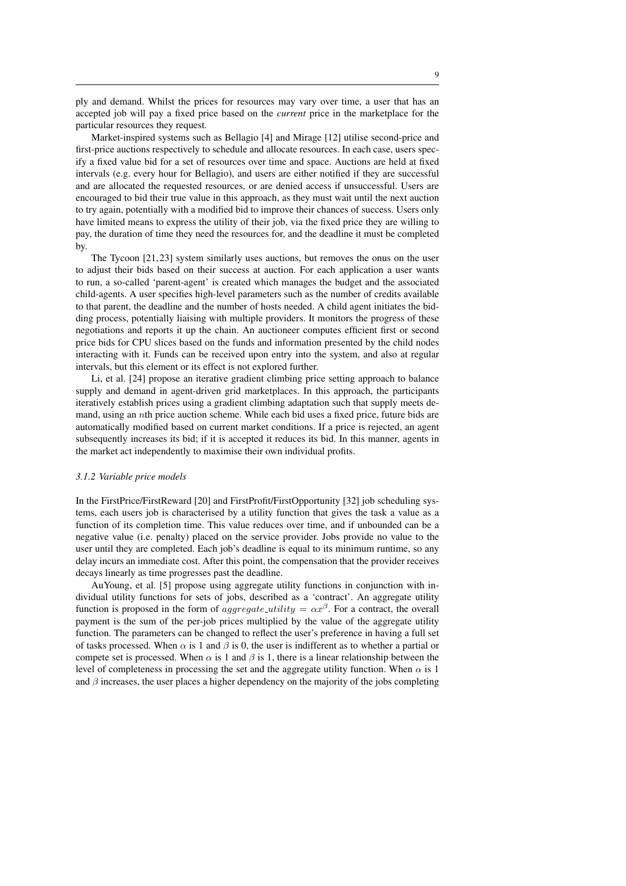ply and demand. Whilst the prices for resources may vary over time, a user that has an accepted job will pay a fixed price based on the *current* price in the marketplace for the particular resources they request.

Market-inspired systems such as Bellagio [4] and Mirage [12] utilise second-price and first-price auctions respectively to schedule and allocate resources. In each case, users specify a fixed value bid for a set of resources over time and space. Auctions are held at fixed intervals (e.g. every hour for Bellagio), and users are either notified if they are successful and are allocated the requested resources, or are denied access if unsuccessful. Users are encouraged to bid their true value in this approach, as they must wait until the next auction to try again, potentially with a modified bid to improve their chances of success. Users only have limited means to express the utility of their job, via the fixed price they are willing to pay, the duration of time they need the resources for, and the deadline it must be completed by.

The Tycoon [21, 23] system similarly uses auctions, but removes the onus on the user to adjust their bids based on their success at auction. For each application a user wants to run, a so-called 'parent-agent' is created which manages the budget and the associated child-agents. A user specifies high-level parameters such as the number of credits available to that parent, the deadline and the number of hosts needed. A child agent initiates the bidding process, potentially liaising with multiple providers. It monitors the progress of these negotiations and reports it up the chain. An auctioneer computes efficient first or second price bids for CPU slices based on the funds and information presented by the child nodes interacting with it. Funds can be received upon entry into the system, and also at regular intervals, but this element or its effect is not explored further.

Li, et al. [24] propose an iterative gradient climbing price setting approach to balance supply and demand in agent-driven grid marketplaces. In this approach, the participants iteratively establish prices using a gradient climbing adaptation such that supply meets demand, using an nth price auction scheme. While each bid uses a fixed price, future bids are automatically modified based on current market conditions. If a price is rejected, an agent subsequently increases its bid; if it is accepted it reduces its bid. In this manner, agents in the market act independently to maximise their own individual profits.

#### *3.1.2 Variable price models*

In the FirstPrice/FirstReward [20] and FirstProfit/FirstOpportunity [32] job scheduling systems, each users job is characterised by a utility function that gives the task a value as a function of its completion time. This value reduces over time, and if unbounded can be a negative value (i.e. penalty) placed on the service provider. Jobs provide no value to the user until they are completed. Each job's deadline is equal to its minimum runtime, so any delay incurs an immediate cost. After this point, the compensation that the provider receives decays linearly as time progresses past the deadline.

AuYoung, et al. [5] propose using aggregate utility functions in conjunction with individual utility functions for sets of jobs, described as a 'contract'. An aggregate utility function is proposed in the form of aggregate\_utility =  $\alpha x^{\beta}$ . For a contract, the overall payment is the sum of the per-job prices multiplied by the value of the aggregate utility function. The parameters can be changed to reflect the user's preference in having a full set of tasks processed. When  $\alpha$  is 1 and  $\beta$  is 0, the user is indifferent as to whether a partial or compete set is processed. When  $\alpha$  is 1 and  $\beta$  is 1, there is a linear relationship between the level of completeness in processing the set and the aggregate utility function. When  $\alpha$  is 1 and  $\beta$  increases, the user places a higher dependency on the majority of the jobs completing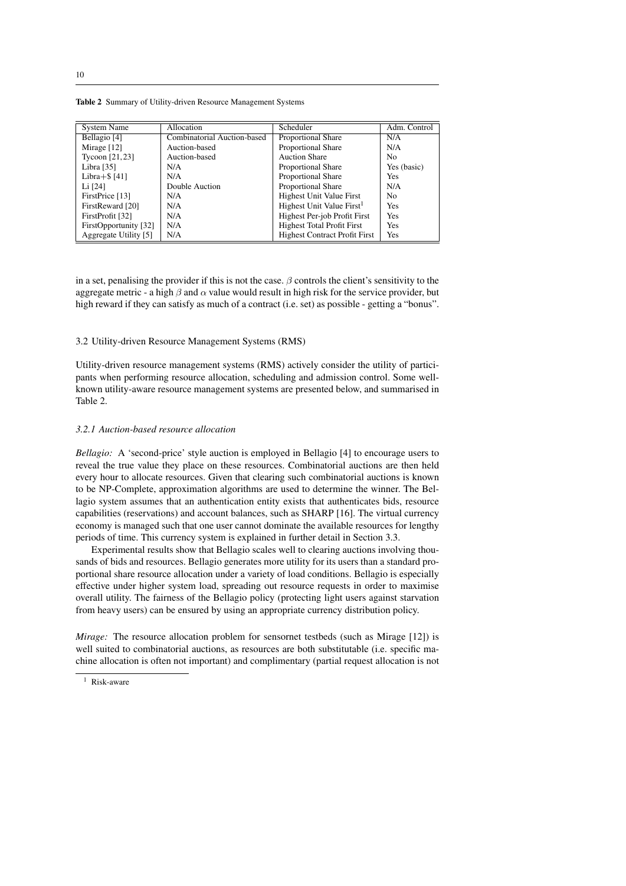|  |  | Table 2 Summary of Utility-driven Resource Management Systems |  |  |  |
|--|--|---------------------------------------------------------------|--|--|--|
|--|--|---------------------------------------------------------------|--|--|--|

| <b>System Name</b>    | Allocation                  | Scheduler                             | Adm. Control   |
|-----------------------|-----------------------------|---------------------------------------|----------------|
| Bellagio [4]          | Combinatorial Auction-based | <b>Proportional Share</b>             | N/A            |
| Mirage $[12]$         | Auction-based               | Proportional Share                    | N/A            |
| Tycoon $[21, 23]$     | Auction-based               | <b>Auction Share</b>                  | N <sub>0</sub> |
| Libra $[35]$          | N/A                         | <b>Proportional Share</b>             | Yes (basic)    |
| Libra $+$ \$[41]      | N/A                         | <b>Proportional Share</b>             | Yes            |
| Li [24]               | Double Auction              | <b>Proportional Share</b>             | N/A            |
| FirstPrice [13]       | N/A                         | <b>Highest Unit Value First</b>       | N <sub>0</sub> |
| FirstReward [20]      | N/A                         | Highest Unit Value First <sup>1</sup> | Yes            |
| FirstProfit [32]      | N/A                         | Highest Per-job Profit First          | Yes            |
| FirstOpportunity [32] | N/A                         | <b>Highest Total Profit First</b>     | <b>Yes</b>     |
| Aggregate Utility [5] | N/A                         | <b>Highest Contract Profit First</b>  | Yes            |

in a set, penalising the provider if this is not the case.  $\beta$  controls the client's sensitivity to the aggregate metric - a high  $\beta$  and  $\alpha$  value would result in high risk for the service provider, but high reward if they can satisfy as much of a contract (i.e. set) as possible - getting a "bonus".

## 3.2 Utility-driven Resource Management Systems (RMS)

Utility-driven resource management systems (RMS) actively consider the utility of participants when performing resource allocation, scheduling and admission control. Some wellknown utility-aware resource management systems are presented below, and summarised in Table 2.

## *3.2.1 Auction-based resource allocation*

*Bellagio:* A 'second-price' style auction is employed in Bellagio [4] to encourage users to reveal the true value they place on these resources. Combinatorial auctions are then held every hour to allocate resources. Given that clearing such combinatorial auctions is known to be NP-Complete, approximation algorithms are used to determine the winner. The Bellagio system assumes that an authentication entity exists that authenticates bids, resource capabilities (reservations) and account balances, such as SHARP [16]. The virtual currency economy is managed such that one user cannot dominate the available resources for lengthy periods of time. This currency system is explained in further detail in Section 3.3.

Experimental results show that Bellagio scales well to clearing auctions involving thousands of bids and resources. Bellagio generates more utility for its users than a standard proportional share resource allocation under a variety of load conditions. Bellagio is especially effective under higher system load, spreading out resource requests in order to maximise overall utility. The fairness of the Bellagio policy (protecting light users against starvation from heavy users) can be ensured by using an appropriate currency distribution policy.

*Mirage:* The resource allocation problem for sensornet testbeds (such as Mirage [12]) is well suited to combinatorial auctions, as resources are both substitutable (i.e. specific machine allocation is often not important) and complimentary (partial request allocation is not

<sup>&</sup>lt;sup>1</sup> Risk-aware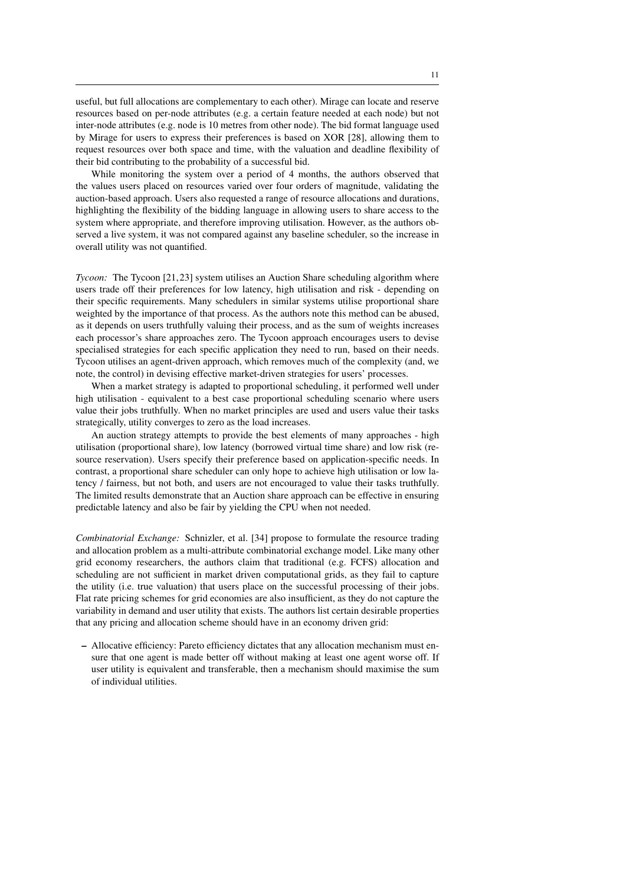useful, but full allocations are complementary to each other). Mirage can locate and reserve resources based on per-node attributes (e.g. a certain feature needed at each node) but not inter-node attributes (e.g. node is 10 metres from other node). The bid format language used by Mirage for users to express their preferences is based on XOR [28], allowing them to request resources over both space and time, with the valuation and deadline flexibility of their bid contributing to the probability of a successful bid.

While monitoring the system over a period of 4 months, the authors observed that the values users placed on resources varied over four orders of magnitude, validating the auction-based approach. Users also requested a range of resource allocations and durations, highlighting the flexibility of the bidding language in allowing users to share access to the system where appropriate, and therefore improving utilisation. However, as the authors observed a live system, it was not compared against any baseline scheduler, so the increase in overall utility was not quantified.

*Tycoon:* The Tycoon [21, 23] system utilises an Auction Share scheduling algorithm where users trade off their preferences for low latency, high utilisation and risk - depending on their specific requirements. Many schedulers in similar systems utilise proportional share weighted by the importance of that process. As the authors note this method can be abused, as it depends on users truthfully valuing their process, and as the sum of weights increases each processor's share approaches zero. The Tycoon approach encourages users to devise specialised strategies for each specific application they need to run, based on their needs. Tycoon utilises an agent-driven approach, which removes much of the complexity (and, we note, the control) in devising effective market-driven strategies for users' processes.

When a market strategy is adapted to proportional scheduling, it performed well under high utilisation - equivalent to a best case proportional scheduling scenario where users value their jobs truthfully. When no market principles are used and users value their tasks strategically, utility converges to zero as the load increases.

An auction strategy attempts to provide the best elements of many approaches - high utilisation (proportional share), low latency (borrowed virtual time share) and low risk (resource reservation). Users specify their preference based on application-specific needs. In contrast, a proportional share scheduler can only hope to achieve high utilisation or low latency / fairness, but not both, and users are not encouraged to value their tasks truthfully. The limited results demonstrate that an Auction share approach can be effective in ensuring predictable latency and also be fair by yielding the CPU when not needed.

*Combinatorial Exchange:* Schnizler, et al. [34] propose to formulate the resource trading and allocation problem as a multi-attribute combinatorial exchange model. Like many other grid economy researchers, the authors claim that traditional (e.g. FCFS) allocation and scheduling are not sufficient in market driven computational grids, as they fail to capture the utility (i.e. true valuation) that users place on the successful processing of their jobs. Flat rate pricing schemes for grid economies are also insufficient, as they do not capture the variability in demand and user utility that exists. The authors list certain desirable properties that any pricing and allocation scheme should have in an economy driven grid:

– Allocative efficiency: Pareto efficiency dictates that any allocation mechanism must ensure that one agent is made better off without making at least one agent worse off. If user utility is equivalent and transferable, then a mechanism should maximise the sum of individual utilities.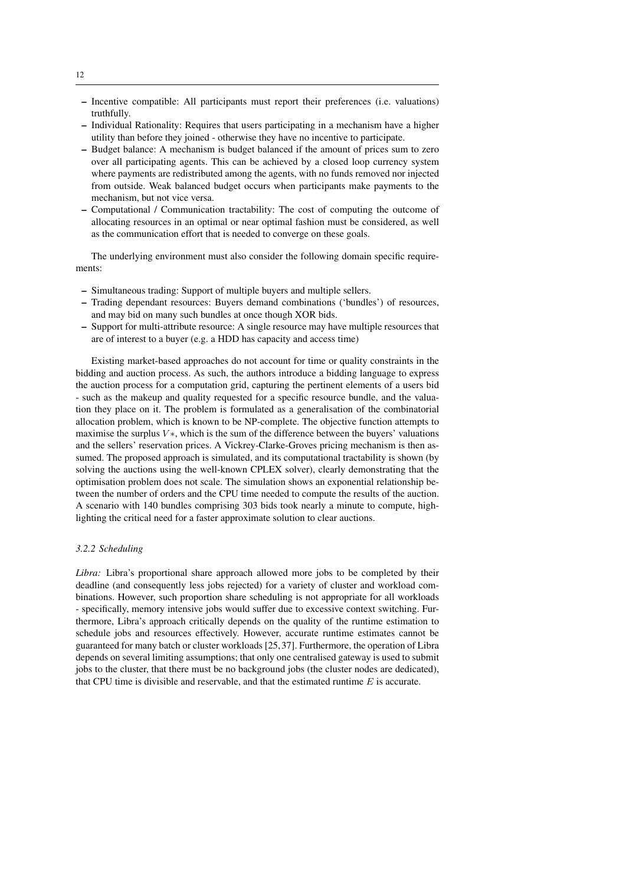- Incentive compatible: All participants must report their preferences (i.e. valuations) truthfully.
- Individual Rationality: Requires that users participating in a mechanism have a higher utility than before they joined - otherwise they have no incentive to participate.
- Budget balance: A mechanism is budget balanced if the amount of prices sum to zero over all participating agents. This can be achieved by a closed loop currency system where payments are redistributed among the agents, with no funds removed nor injected from outside. Weak balanced budget occurs when participants make payments to the mechanism, but not vice versa.
- Computational / Communication tractability: The cost of computing the outcome of allocating resources in an optimal or near optimal fashion must be considered, as well as the communication effort that is needed to converge on these goals.

The underlying environment must also consider the following domain specific requirements:

- Simultaneous trading: Support of multiple buyers and multiple sellers.
- Trading dependant resources: Buyers demand combinations ('bundles') of resources, and may bid on many such bundles at once though XOR bids.
- Support for multi-attribute resource: A single resource may have multiple resources that are of interest to a buyer (e.g. a HDD has capacity and access time)

Existing market-based approaches do not account for time or quality constraints in the bidding and auction process. As such, the authors introduce a bidding language to express the auction process for a computation grid, capturing the pertinent elements of a users bid - such as the makeup and quality requested for a specific resource bundle, and the valuation they place on it. The problem is formulated as a generalisation of the combinatorial allocation problem, which is known to be NP-complete. The objective function attempts to maximise the surplus  $V^*$ , which is the sum of the difference between the buyers' valuations and the sellers' reservation prices. A Vickrey-Clarke-Groves pricing mechanism is then assumed. The proposed approach is simulated, and its computational tractability is shown (by solving the auctions using the well-known CPLEX solver), clearly demonstrating that the optimisation problem does not scale. The simulation shows an exponential relationship between the number of orders and the CPU time needed to compute the results of the auction. A scenario with 140 bundles comprising 303 bids took nearly a minute to compute, highlighting the critical need for a faster approximate solution to clear auctions.

## *3.2.2 Scheduling*

*Libra:* Libra's proportional share approach allowed more jobs to be completed by their deadline (and consequently less jobs rejected) for a variety of cluster and workload combinations. However, such proportion share scheduling is not appropriate for all workloads - specifically, memory intensive jobs would suffer due to excessive context switching. Furthermore, Libra's approach critically depends on the quality of the runtime estimation to schedule jobs and resources effectively. However, accurate runtime estimates cannot be guaranteed for many batch or cluster workloads [25, 37]. Furthermore, the operation of Libra depends on several limiting assumptions; that only one centralised gateway is used to submit jobs to the cluster, that there must be no background jobs (the cluster nodes are dedicated), that CPU time is divisible and reservable, and that the estimated runtime  $E$  is accurate.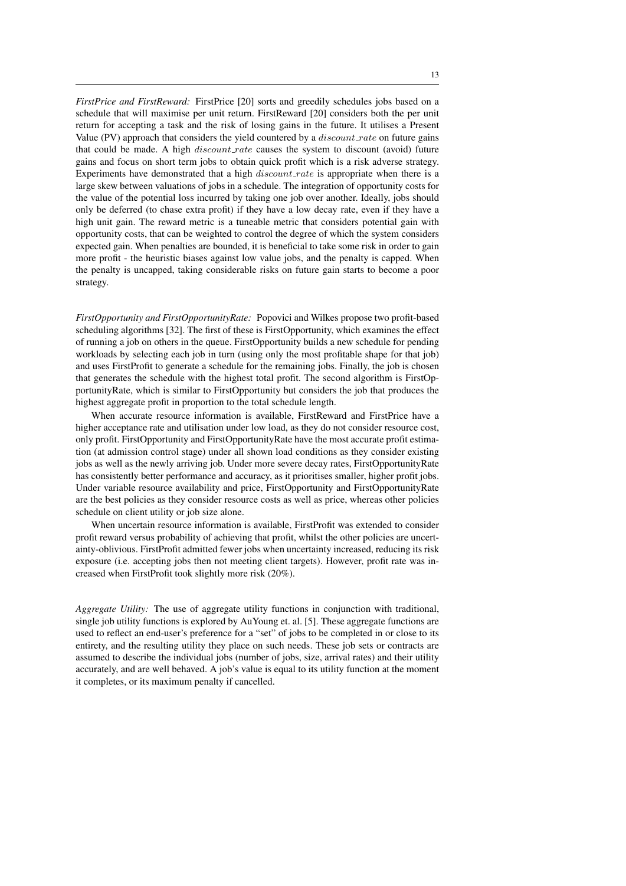*FirstPrice and FirstReward:* FirstPrice [20] sorts and greedily schedules jobs based on a schedule that will maximise per unit return. FirstReward [20] considers both the per unit return for accepting a task and the risk of losing gains in the future. It utilises a Present Value (PV) approach that considers the yield countered by a *discount rate* on future gains that could be made. A high *discount\_rate* causes the system to discount (avoid) future gains and focus on short term jobs to obtain quick profit which is a risk adverse strategy. Experiments have demonstrated that a high  $discount_rate$  is appropriate when there is a large skew between valuations of jobs in a schedule. The integration of opportunity costs for the value of the potential loss incurred by taking one job over another. Ideally, jobs should only be deferred (to chase extra profit) if they have a low decay rate, even if they have a high unit gain. The reward metric is a tuneable metric that considers potential gain with opportunity costs, that can be weighted to control the degree of which the system considers expected gain. When penalties are bounded, it is beneficial to take some risk in order to gain more profit - the heuristic biases against low value jobs, and the penalty is capped. When the penalty is uncapped, taking considerable risks on future gain starts to become a poor strategy.

*FirstOpportunity and FirstOpportunityRate:* Popovici and Wilkes propose two profit-based scheduling algorithms [32]. The first of these is FirstOpportunity, which examines the effect of running a job on others in the queue. FirstOpportunity builds a new schedule for pending workloads by selecting each job in turn (using only the most profitable shape for that job) and uses FirstProfit to generate a schedule for the remaining jobs. Finally, the job is chosen that generates the schedule with the highest total profit. The second algorithm is FirstOpportunityRate, which is similar to FirstOpportunity but considers the job that produces the highest aggregate profit in proportion to the total schedule length.

When accurate resource information is available, FirstReward and FirstPrice have a higher acceptance rate and utilisation under low load, as they do not consider resource cost, only profit. FirstOpportunity and FirstOpportunityRate have the most accurate profit estimation (at admission control stage) under all shown load conditions as they consider existing jobs as well as the newly arriving job. Under more severe decay rates, FirstOpportunityRate has consistently better performance and accuracy, as it prioritises smaller, higher profit jobs. Under variable resource availability and price, FirstOpportunity and FirstOpportunityRate are the best policies as they consider resource costs as well as price, whereas other policies schedule on client utility or job size alone.

When uncertain resource information is available, FirstProfit was extended to consider profit reward versus probability of achieving that profit, whilst the other policies are uncertainty-oblivious. FirstProfit admitted fewer jobs when uncertainty increased, reducing its risk exposure (i.e. accepting jobs then not meeting client targets). However, profit rate was increased when FirstProfit took slightly more risk (20%).

*Aggregate Utility:* The use of aggregate utility functions in conjunction with traditional, single job utility functions is explored by AuYoung et. al. [5]. These aggregate functions are used to reflect an end-user's preference for a "set" of jobs to be completed in or close to its entirety, and the resulting utility they place on such needs. These job sets or contracts are assumed to describe the individual jobs (number of jobs, size, arrival rates) and their utility accurately, and are well behaved. A job's value is equal to its utility function at the moment it completes, or its maximum penalty if cancelled.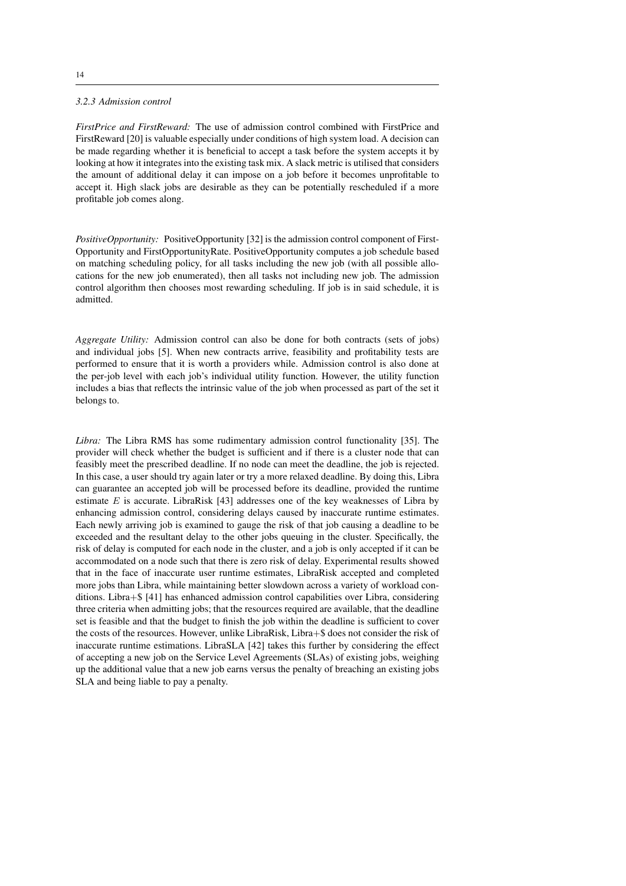## *3.2.3 Admission control*

*FirstPrice and FirstReward:* The use of admission control combined with FirstPrice and FirstReward [20] is valuable especially under conditions of high system load. A decision can be made regarding whether it is beneficial to accept a task before the system accepts it by looking at how it integrates into the existing task mix. A slack metric is utilised that considers the amount of additional delay it can impose on a job before it becomes unprofitable to accept it. High slack jobs are desirable as they can be potentially rescheduled if a more profitable job comes along.

*PositiveOpportunity:* PositiveOpportunity [32] is the admission control component of First-Opportunity and FirstOpportunityRate. PositiveOpportunity computes a job schedule based on matching scheduling policy, for all tasks including the new job (with all possible allocations for the new job enumerated), then all tasks not including new job. The admission control algorithm then chooses most rewarding scheduling. If job is in said schedule, it is admitted.

*Aggregate Utility:* Admission control can also be done for both contracts (sets of jobs) and individual jobs [5]. When new contracts arrive, feasibility and profitability tests are performed to ensure that it is worth a providers while. Admission control is also done at the per-job level with each job's individual utility function. However, the utility function includes a bias that reflects the intrinsic value of the job when processed as part of the set it belongs to.

*Libra:* The Libra RMS has some rudimentary admission control functionality [35]. The provider will check whether the budget is sufficient and if there is a cluster node that can feasibly meet the prescribed deadline. If no node can meet the deadline, the job is rejected. In this case, a user should try again later or try a more relaxed deadline. By doing this, Libra can guarantee an accepted job will be processed before its deadline, provided the runtime estimate E is accurate. LibraRisk [43] addresses one of the key weaknesses of Libra by enhancing admission control, considering delays caused by inaccurate runtime estimates. Each newly arriving job is examined to gauge the risk of that job causing a deadline to be exceeded and the resultant delay to the other jobs queuing in the cluster. Specifically, the risk of delay is computed for each node in the cluster, and a job is only accepted if it can be accommodated on a node such that there is zero risk of delay. Experimental results showed that in the face of inaccurate user runtime estimates, LibraRisk accepted and completed more jobs than Libra, while maintaining better slowdown across a variety of workload conditions. Libra+\$ [41] has enhanced admission control capabilities over Libra, considering three criteria when admitting jobs; that the resources required are available, that the deadline set is feasible and that the budget to finish the job within the deadline is sufficient to cover the costs of the resources. However, unlike LibraRisk, Libra+\$ does not consider the risk of inaccurate runtime estimations. LibraSLA [42] takes this further by considering the effect of accepting a new job on the Service Level Agreements (SLAs) of existing jobs, weighing up the additional value that a new job earns versus the penalty of breaching an existing jobs SLA and being liable to pay a penalty.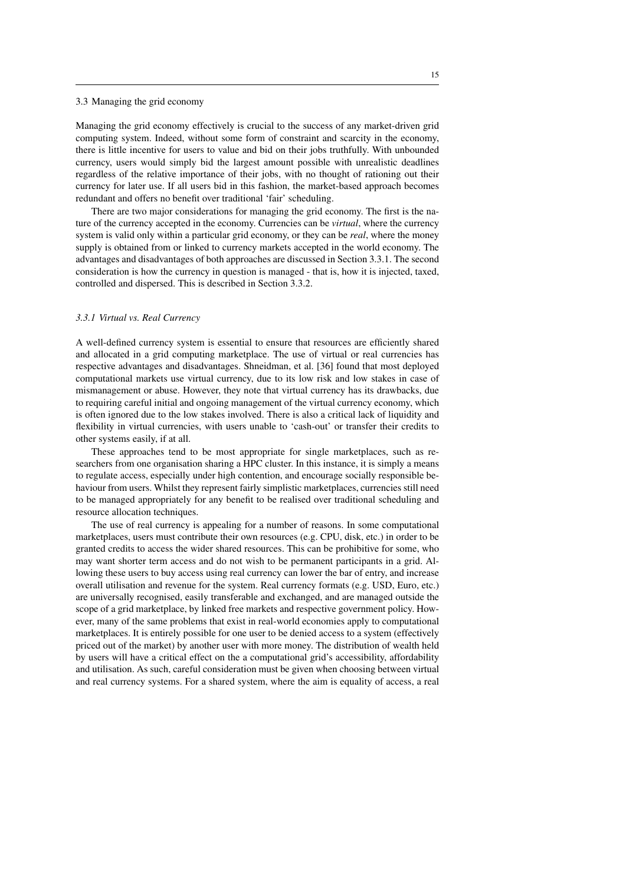#### 3.3 Managing the grid economy

Managing the grid economy effectively is crucial to the success of any market-driven grid computing system. Indeed, without some form of constraint and scarcity in the economy, there is little incentive for users to value and bid on their jobs truthfully. With unbounded currency, users would simply bid the largest amount possible with unrealistic deadlines regardless of the relative importance of their jobs, with no thought of rationing out their currency for later use. If all users bid in this fashion, the market-based approach becomes redundant and offers no benefit over traditional 'fair' scheduling.

There are two major considerations for managing the grid economy. The first is the nature of the currency accepted in the economy. Currencies can be *virtual*, where the currency system is valid only within a particular grid economy, or they can be *real*, where the money supply is obtained from or linked to currency markets accepted in the world economy. The advantages and disadvantages of both approaches are discussed in Section 3.3.1. The second consideration is how the currency in question is managed - that is, how it is injected, taxed, controlled and dispersed. This is described in Section 3.3.2.

#### *3.3.1 Virtual vs. Real Currency*

A well-defined currency system is essential to ensure that resources are efficiently shared and allocated in a grid computing marketplace. The use of virtual or real currencies has respective advantages and disadvantages. Shneidman, et al. [36] found that most deployed computational markets use virtual currency, due to its low risk and low stakes in case of mismanagement or abuse. However, they note that virtual currency has its drawbacks, due to requiring careful initial and ongoing management of the virtual currency economy, which is often ignored due to the low stakes involved. There is also a critical lack of liquidity and flexibility in virtual currencies, with users unable to 'cash-out' or transfer their credits to other systems easily, if at all.

These approaches tend to be most appropriate for single marketplaces, such as researchers from one organisation sharing a HPC cluster. In this instance, it is simply a means to regulate access, especially under high contention, and encourage socially responsible behaviour from users. Whilst they represent fairly simplistic marketplaces, currencies still need to be managed appropriately for any benefit to be realised over traditional scheduling and resource allocation techniques.

The use of real currency is appealing for a number of reasons. In some computational marketplaces, users must contribute their own resources (e.g. CPU, disk, etc.) in order to be granted credits to access the wider shared resources. This can be prohibitive for some, who may want shorter term access and do not wish to be permanent participants in a grid. Allowing these users to buy access using real currency can lower the bar of entry, and increase overall utilisation and revenue for the system. Real currency formats (e.g. USD, Euro, etc.) are universally recognised, easily transferable and exchanged, and are managed outside the scope of a grid marketplace, by linked free markets and respective government policy. However, many of the same problems that exist in real-world economies apply to computational marketplaces. It is entirely possible for one user to be denied access to a system (effectively priced out of the market) by another user with more money. The distribution of wealth held by users will have a critical effect on the a computational grid's accessibility, affordability and utilisation. As such, careful consideration must be given when choosing between virtual and real currency systems. For a shared system, where the aim is equality of access, a real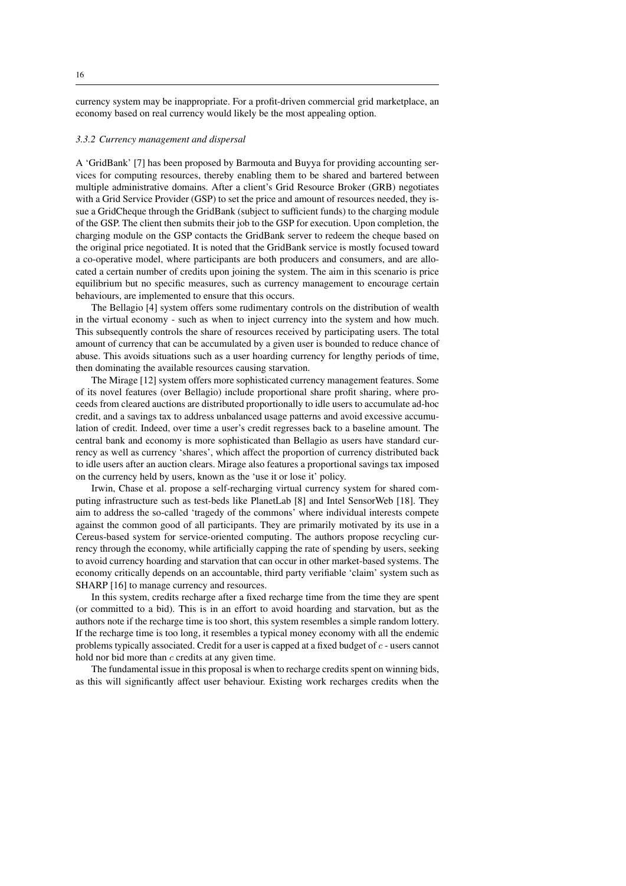currency system may be inappropriate. For a profit-driven commercial grid marketplace, an economy based on real currency would likely be the most appealing option.

#### *3.3.2 Currency management and dispersal*

A 'GridBank' [7] has been proposed by Barmouta and Buyya for providing accounting services for computing resources, thereby enabling them to be shared and bartered between multiple administrative domains. After a client's Grid Resource Broker (GRB) negotiates with a Grid Service Provider (GSP) to set the price and amount of resources needed, they issue a GridCheque through the GridBank (subject to sufficient funds) to the charging module of the GSP. The client then submits their job to the GSP for execution. Upon completion, the charging module on the GSP contacts the GridBank server to redeem the cheque based on the original price negotiated. It is noted that the GridBank service is mostly focused toward a co-operative model, where participants are both producers and consumers, and are allocated a certain number of credits upon joining the system. The aim in this scenario is price equilibrium but no specific measures, such as currency management to encourage certain behaviours, are implemented to ensure that this occurs.

The Bellagio [4] system offers some rudimentary controls on the distribution of wealth in the virtual economy - such as when to inject currency into the system and how much. This subsequently controls the share of resources received by participating users. The total amount of currency that can be accumulated by a given user is bounded to reduce chance of abuse. This avoids situations such as a user hoarding currency for lengthy periods of time, then dominating the available resources causing starvation.

The Mirage [12] system offers more sophisticated currency management features. Some of its novel features (over Bellagio) include proportional share profit sharing, where proceeds from cleared auctions are distributed proportionally to idle users to accumulate ad-hoc credit, and a savings tax to address unbalanced usage patterns and avoid excessive accumulation of credit. Indeed, over time a user's credit regresses back to a baseline amount. The central bank and economy is more sophisticated than Bellagio as users have standard currency as well as currency 'shares', which affect the proportion of currency distributed back to idle users after an auction clears. Mirage also features a proportional savings tax imposed on the currency held by users, known as the 'use it or lose it' policy.

Irwin, Chase et al. propose a self-recharging virtual currency system for shared computing infrastructure such as test-beds like PlanetLab [8] and Intel SensorWeb [18]. They aim to address the so-called 'tragedy of the commons' where individual interests compete against the common good of all participants. They are primarily motivated by its use in a Cereus-based system for service-oriented computing. The authors propose recycling currency through the economy, while artificially capping the rate of spending by users, seeking to avoid currency hoarding and starvation that can occur in other market-based systems. The economy critically depends on an accountable, third party verifiable 'claim' system such as SHARP [16] to manage currency and resources.

In this system, credits recharge after a fixed recharge time from the time they are spent (or committed to a bid). This is in an effort to avoid hoarding and starvation, but as the authors note if the recharge time is too short, this system resembles a simple random lottery. If the recharge time is too long, it resembles a typical money economy with all the endemic problems typically associated. Credit for a user is capped at a fixed budget of c - users cannot hold nor bid more than c credits at any given time.

The fundamental issue in this proposal is when to recharge credits spent on winning bids, as this will significantly affect user behaviour. Existing work recharges credits when the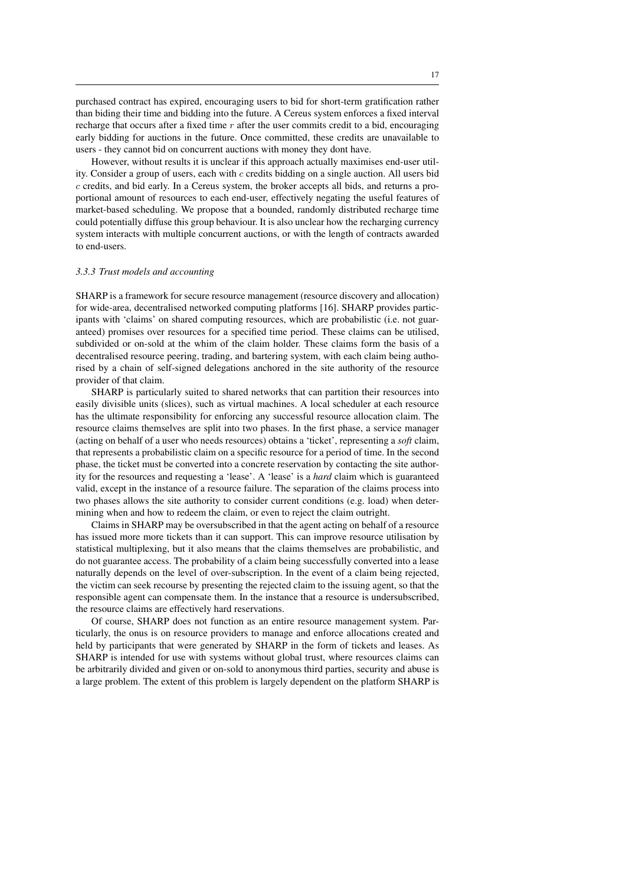purchased contract has expired, encouraging users to bid for short-term gratification rather than biding their time and bidding into the future. A Cereus system enforces a fixed interval recharge that occurs after a fixed time  $r$  after the user commits credit to a bid, encouraging early bidding for auctions in the future. Once committed, these credits are unavailable to users - they cannot bid on concurrent auctions with money they dont have.

However, without results it is unclear if this approach actually maximises end-user utility. Consider a group of users, each with  $c$  credits bidding on a single auction. All users bid c credits, and bid early. In a Cereus system, the broker accepts all bids, and returns a proportional amount of resources to each end-user, effectively negating the useful features of market-based scheduling. We propose that a bounded, randomly distributed recharge time could potentially diffuse this group behaviour. It is also unclear how the recharging currency system interacts with multiple concurrent auctions, or with the length of contracts awarded to end-users.

## *3.3.3 Trust models and accounting*

SHARP is a framework for secure resource management (resource discovery and allocation) for wide-area, decentralised networked computing platforms [16]. SHARP provides participants with 'claims' on shared computing resources, which are probabilistic (i.e. not guaranteed) promises over resources for a specified time period. These claims can be utilised, subdivided or on-sold at the whim of the claim holder. These claims form the basis of a decentralised resource peering, trading, and bartering system, with each claim being authorised by a chain of self-signed delegations anchored in the site authority of the resource provider of that claim.

SHARP is particularly suited to shared networks that can partition their resources into easily divisible units (slices), such as virtual machines. A local scheduler at each resource has the ultimate responsibility for enforcing any successful resource allocation claim. The resource claims themselves are split into two phases. In the first phase, a service manager (acting on behalf of a user who needs resources) obtains a 'ticket', representing a *soft* claim, that represents a probabilistic claim on a specific resource for a period of time. In the second phase, the ticket must be converted into a concrete reservation by contacting the site authority for the resources and requesting a 'lease'. A 'lease' is a *hard* claim which is guaranteed valid, except in the instance of a resource failure. The separation of the claims process into two phases allows the site authority to consider current conditions (e.g. load) when determining when and how to redeem the claim, or even to reject the claim outright.

Claims in SHARP may be oversubscribed in that the agent acting on behalf of a resource has issued more more tickets than it can support. This can improve resource utilisation by statistical multiplexing, but it also means that the claims themselves are probabilistic, and do not guarantee access. The probability of a claim being successfully converted into a lease naturally depends on the level of over-subscription. In the event of a claim being rejected, the victim can seek recourse by presenting the rejected claim to the issuing agent, so that the responsible agent can compensate them. In the instance that a resource is undersubscribed, the resource claims are effectively hard reservations.

Of course, SHARP does not function as an entire resource management system. Particularly, the onus is on resource providers to manage and enforce allocations created and held by participants that were generated by SHARP in the form of tickets and leases. As SHARP is intended for use with systems without global trust, where resources claims can be arbitrarily divided and given or on-sold to anonymous third parties, security and abuse is a large problem. The extent of this problem is largely dependent on the platform SHARP is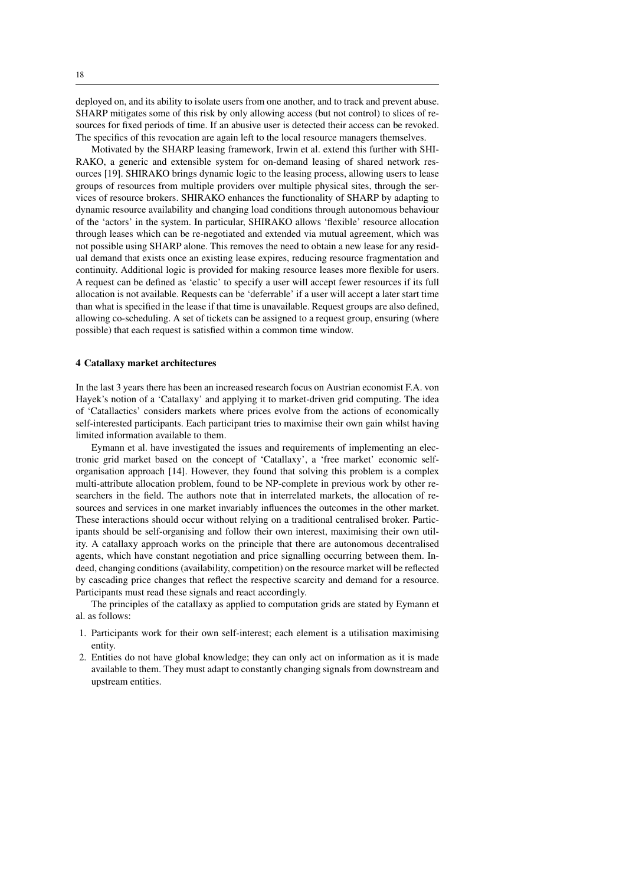deployed on, and its ability to isolate users from one another, and to track and prevent abuse. SHARP mitigates some of this risk by only allowing access (but not control) to slices of resources for fixed periods of time. If an abusive user is detected their access can be revoked. The specifics of this revocation are again left to the local resource managers themselves.

Motivated by the SHARP leasing framework, Irwin et al. extend this further with SHI-RAKO, a generic and extensible system for on-demand leasing of shared network resources [19]. SHIRAKO brings dynamic logic to the leasing process, allowing users to lease groups of resources from multiple providers over multiple physical sites, through the services of resource brokers. SHIRAKO enhances the functionality of SHARP by adapting to dynamic resource availability and changing load conditions through autonomous behaviour of the 'actors' in the system. In particular, SHIRAKO allows 'flexible' resource allocation through leases which can be re-negotiated and extended via mutual agreement, which was not possible using SHARP alone. This removes the need to obtain a new lease for any residual demand that exists once an existing lease expires, reducing resource fragmentation and continuity. Additional logic is provided for making resource leases more flexible for users. A request can be defined as 'elastic' to specify a user will accept fewer resources if its full allocation is not available. Requests can be 'deferrable' if a user will accept a later start time than what is specified in the lease if that time is unavailable. Request groups are also defined, allowing co-scheduling. A set of tickets can be assigned to a request group, ensuring (where possible) that each request is satisfied within a common time window.

## 4 Catallaxy market architectures

In the last 3 years there has been an increased research focus on Austrian economist F.A. von Hayek's notion of a 'Catallaxy' and applying it to market-driven grid computing. The idea of 'Catallactics' considers markets where prices evolve from the actions of economically self-interested participants. Each participant tries to maximise their own gain whilst having limited information available to them.

Eymann et al. have investigated the issues and requirements of implementing an electronic grid market based on the concept of 'Catallaxy', a 'free market' economic selforganisation approach [14]. However, they found that solving this problem is a complex multi-attribute allocation problem, found to be NP-complete in previous work by other researchers in the field. The authors note that in interrelated markets, the allocation of resources and services in one market invariably influences the outcomes in the other market. These interactions should occur without relying on a traditional centralised broker. Participants should be self-organising and follow their own interest, maximising their own utility. A catallaxy approach works on the principle that there are autonomous decentralised agents, which have constant negotiation and price signalling occurring between them. Indeed, changing conditions (availability, competition) on the resource market will be reflected by cascading price changes that reflect the respective scarcity and demand for a resource. Participants must read these signals and react accordingly.

The principles of the catallaxy as applied to computation grids are stated by Eymann et al. as follows:

- 1. Participants work for their own self-interest; each element is a utilisation maximising entity.
- 2. Entities do not have global knowledge; they can only act on information as it is made available to them. They must adapt to constantly changing signals from downstream and upstream entities.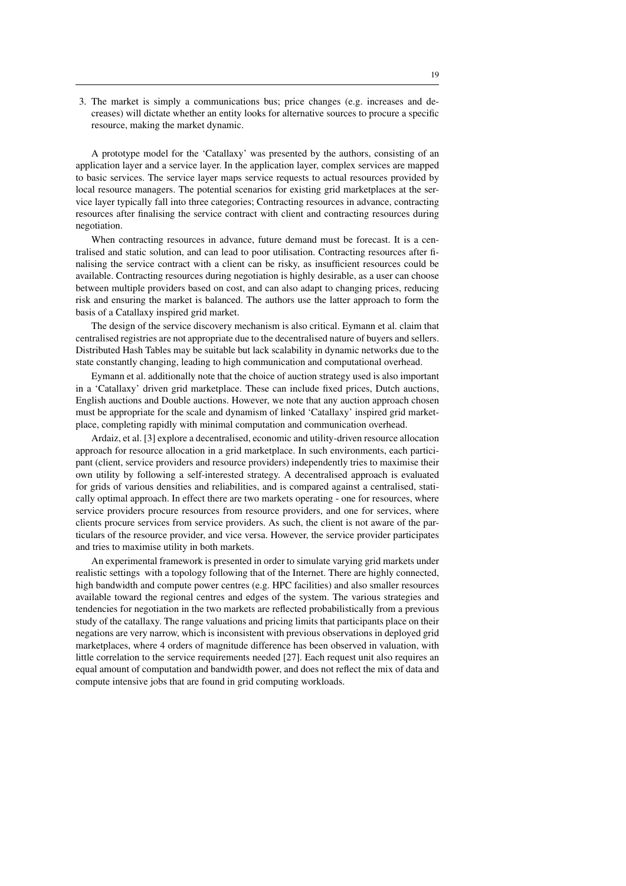3. The market is simply a communications bus; price changes (e.g. increases and decreases) will dictate whether an entity looks for alternative sources to procure a specific resource, making the market dynamic.

A prototype model for the 'Catallaxy' was presented by the authors, consisting of an application layer and a service layer. In the application layer, complex services are mapped to basic services. The service layer maps service requests to actual resources provided by local resource managers. The potential scenarios for existing grid marketplaces at the service layer typically fall into three categories; Contracting resources in advance, contracting resources after finalising the service contract with client and contracting resources during negotiation.

When contracting resources in advance, future demand must be forecast. It is a centralised and static solution, and can lead to poor utilisation. Contracting resources after finalising the service contract with a client can be risky, as insufficient resources could be available. Contracting resources during negotiation is highly desirable, as a user can choose between multiple providers based on cost, and can also adapt to changing prices, reducing risk and ensuring the market is balanced. The authors use the latter approach to form the basis of a Catallaxy inspired grid market.

The design of the service discovery mechanism is also critical. Eymann et al. claim that centralised registries are not appropriate due to the decentralised nature of buyers and sellers. Distributed Hash Tables may be suitable but lack scalability in dynamic networks due to the state constantly changing, leading to high communication and computational overhead.

Eymann et al. additionally note that the choice of auction strategy used is also important in a 'Catallaxy' driven grid marketplace. These can include fixed prices, Dutch auctions, English auctions and Double auctions. However, we note that any auction approach chosen must be appropriate for the scale and dynamism of linked 'Catallaxy' inspired grid marketplace, completing rapidly with minimal computation and communication overhead.

Ardaiz, et al. [3] explore a decentralised, economic and utility-driven resource allocation approach for resource allocation in a grid marketplace. In such environments, each participant (client, service providers and resource providers) independently tries to maximise their own utility by following a self-interested strategy. A decentralised approach is evaluated for grids of various densities and reliabilities, and is compared against a centralised, statically optimal approach. In effect there are two markets operating - one for resources, where service providers procure resources from resource providers, and one for services, where clients procure services from service providers. As such, the client is not aware of the particulars of the resource provider, and vice versa. However, the service provider participates and tries to maximise utility in both markets.

An experimental framework is presented in order to simulate varying grid markets under realistic settings with a topology following that of the Internet. There are highly connected, high bandwidth and compute power centres (e.g. HPC facilities) and also smaller resources available toward the regional centres and edges of the system. The various strategies and tendencies for negotiation in the two markets are reflected probabilistically from a previous study of the catallaxy. The range valuations and pricing limits that participants place on their negations are very narrow, which is inconsistent with previous observations in deployed grid marketplaces, where 4 orders of magnitude difference has been observed in valuation, with little correlation to the service requirements needed [27]. Each request unit also requires an equal amount of computation and bandwidth power, and does not reflect the mix of data and compute intensive jobs that are found in grid computing workloads.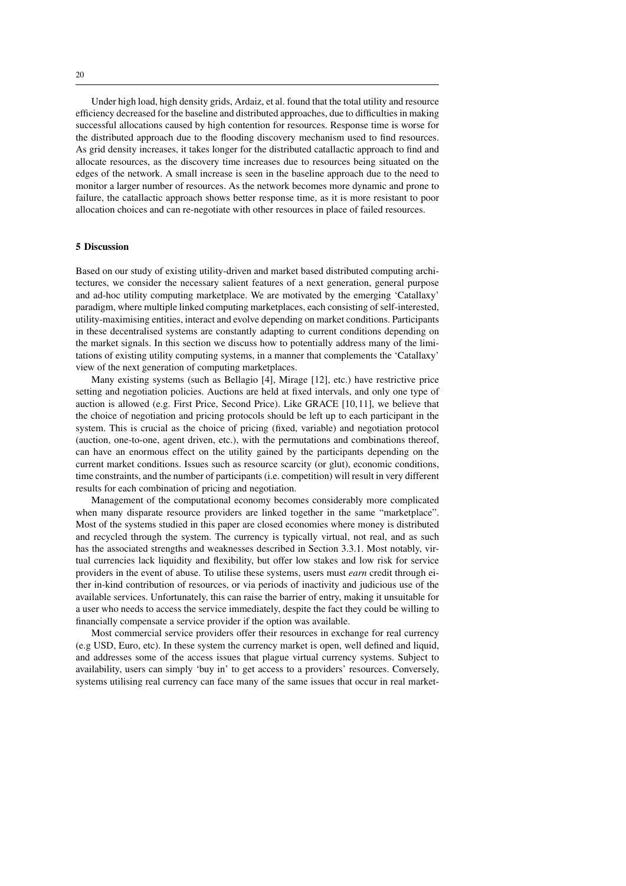Under high load, high density grids, Ardaiz, et al. found that the total utility and resource efficiency decreased for the baseline and distributed approaches, due to difficulties in making successful allocations caused by high contention for resources. Response time is worse for the distributed approach due to the flooding discovery mechanism used to find resources. As grid density increases, it takes longer for the distributed catallactic approach to find and allocate resources, as the discovery time increases due to resources being situated on the edges of the network. A small increase is seen in the baseline approach due to the need to monitor a larger number of resources. As the network becomes more dynamic and prone to failure, the catallactic approach shows better response time, as it is more resistant to poor allocation choices and can re-negotiate with other resources in place of failed resources.

## 5 Discussion

Based on our study of existing utility-driven and market based distributed computing architectures, we consider the necessary salient features of a next generation, general purpose and ad-hoc utility computing marketplace. We are motivated by the emerging 'Catallaxy' paradigm, where multiple linked computing marketplaces, each consisting of self-interested, utility-maximising entities, interact and evolve depending on market conditions. Participants in these decentralised systems are constantly adapting to current conditions depending on the market signals. In this section we discuss how to potentially address many of the limitations of existing utility computing systems, in a manner that complements the 'Catallaxy' view of the next generation of computing marketplaces.

Many existing systems (such as Bellagio [4], Mirage [12], etc.) have restrictive price setting and negotiation policies. Auctions are held at fixed intervals, and only one type of auction is allowed (e.g. First Price, Second Price). Like GRACE [10, 11], we believe that the choice of negotiation and pricing protocols should be left up to each participant in the system. This is crucial as the choice of pricing (fixed, variable) and negotiation protocol (auction, one-to-one, agent driven, etc.), with the permutations and combinations thereof, can have an enormous effect on the utility gained by the participants depending on the current market conditions. Issues such as resource scarcity (or glut), economic conditions, time constraints, and the number of participants (i.e. competition) will result in very different results for each combination of pricing and negotiation.

Management of the computational economy becomes considerably more complicated when many disparate resource providers are linked together in the same "marketplace". Most of the systems studied in this paper are closed economies where money is distributed and recycled through the system. The currency is typically virtual, not real, and as such has the associated strengths and weaknesses described in Section 3.3.1. Most notably, virtual currencies lack liquidity and flexibility, but offer low stakes and low risk for service providers in the event of abuse. To utilise these systems, users must *earn* credit through either in-kind contribution of resources, or via periods of inactivity and judicious use of the available services. Unfortunately, this can raise the barrier of entry, making it unsuitable for a user who needs to access the service immediately, despite the fact they could be willing to financially compensate a service provider if the option was available.

Most commercial service providers offer their resources in exchange for real currency (e.g USD, Euro, etc). In these system the currency market is open, well defined and liquid, and addresses some of the access issues that plague virtual currency systems. Subject to availability, users can simply 'buy in' to get access to a providers' resources. Conversely, systems utilising real currency can face many of the same issues that occur in real market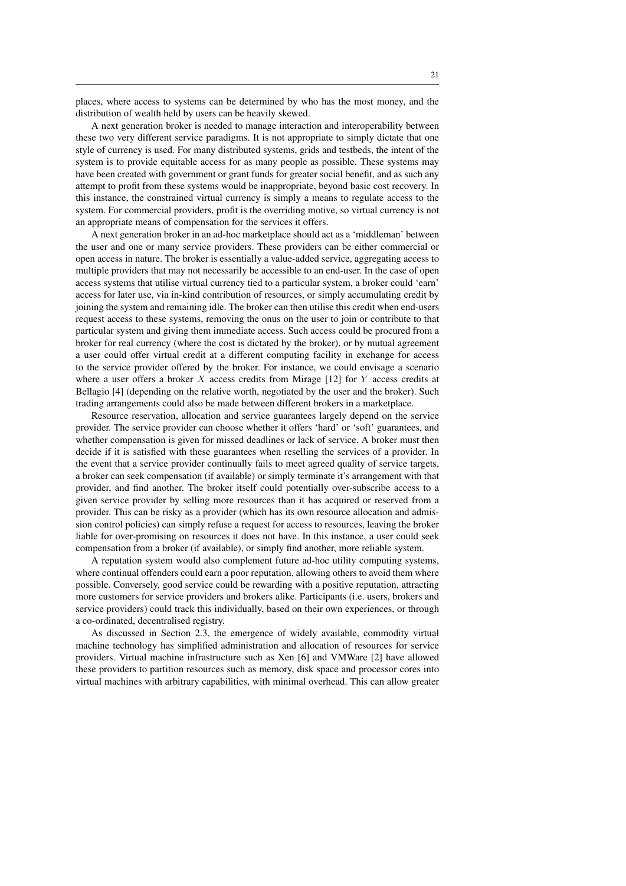places, where access to systems can be determined by who has the most money, and the distribution of wealth held by users can be heavily skewed.

A next generation broker is needed to manage interaction and interoperability between these two very different service paradigms. It is not appropriate to simply dictate that one style of currency is used. For many distributed systems, grids and testbeds, the intent of the system is to provide equitable access for as many people as possible. These systems may have been created with government or grant funds for greater social benefit, and as such any attempt to profit from these systems would be inappropriate, beyond basic cost recovery. In this instance, the constrained virtual currency is simply a means to regulate access to the system. For commercial providers, profit is the overriding motive, so virtual currency is not an appropriate means of compensation for the services it offers.

A next generation broker in an ad-hoc marketplace should act as a 'middleman' between the user and one or many service providers. These providers can be either commercial or open access in nature. The broker is essentially a value-added service, aggregating access to multiple providers that may not necessarily be accessible to an end-user. In the case of open access systems that utilise virtual currency tied to a particular system, a broker could 'earn' access for later use, via in-kind contribution of resources, or simply accumulating credit by joining the system and remaining idle. The broker can then utilise this credit when end-users request access to these systems, removing the onus on the user to join or contribute to that particular system and giving them immediate access. Such access could be procured from a broker for real currency (where the cost is dictated by the broker), or by mutual agreement a user could offer virtual credit at a different computing facility in exchange for access to the service provider offered by the broker. For instance, we could envisage a scenario where a user offers a broker  $X$  access credits from Mirage [12] for  $Y$  access credits at Bellagio [4] (depending on the relative worth, negotiated by the user and the broker). Such trading arrangements could also be made between different brokers in a marketplace.

Resource reservation, allocation and service guarantees largely depend on the service provider. The service provider can choose whether it offers 'hard' or 'soft' guarantees, and whether compensation is given for missed deadlines or lack of service. A broker must then decide if it is satisfied with these guarantees when reselling the services of a provider. In the event that a service provider continually fails to meet agreed quality of service targets, a broker can seek compensation (if available) or simply terminate it's arrangement with that provider, and find another. The broker itself could potentially over-subscribe access to a given service provider by selling more resources than it has acquired or reserved from a provider. This can be risky as a provider (which has its own resource allocation and admission control policies) can simply refuse a request for access to resources, leaving the broker liable for over-promising on resources it does not have. In this instance, a user could seek compensation from a broker (if available), or simply find another, more reliable system.

A reputation system would also complement future ad-hoc utility computing systems, where continual offenders could earn a poor reputation, allowing others to avoid them where possible. Conversely, good service could be rewarding with a positive reputation, attracting more customers for service providers and brokers alike. Participants (i.e. users, brokers and service providers) could track this individually, based on their own experiences, or through a co-ordinated, decentralised registry.

As discussed in Section 2.3, the emergence of widely available, commodity virtual machine technology has simplified administration and allocation of resources for service providers. Virtual machine infrastructure such as Xen [6] and VMWare [2] have allowed these providers to partition resources such as memory, disk space and processor cores into virtual machines with arbitrary capabilities, with minimal overhead. This can allow greater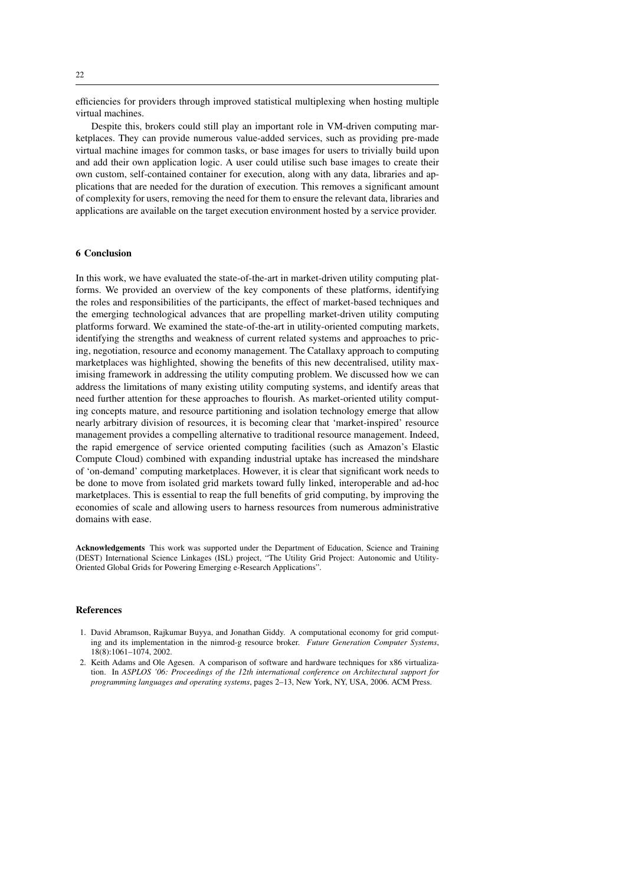efficiencies for providers through improved statistical multiplexing when hosting multiple virtual machines.

Despite this, brokers could still play an important role in VM-driven computing marketplaces. They can provide numerous value-added services, such as providing pre-made virtual machine images for common tasks, or base images for users to trivially build upon and add their own application logic. A user could utilise such base images to create their own custom, self-contained container for execution, along with any data, libraries and applications that are needed for the duration of execution. This removes a significant amount of complexity for users, removing the need for them to ensure the relevant data, libraries and applications are available on the target execution environment hosted by a service provider.

## 6 Conclusion

In this work, we have evaluated the state-of-the-art in market-driven utility computing platforms. We provided an overview of the key components of these platforms, identifying the roles and responsibilities of the participants, the effect of market-based techniques and the emerging technological advances that are propelling market-driven utility computing platforms forward. We examined the state-of-the-art in utility-oriented computing markets, identifying the strengths and weakness of current related systems and approaches to pricing, negotiation, resource and economy management. The Catallaxy approach to computing marketplaces was highlighted, showing the benefits of this new decentralised, utility maximising framework in addressing the utility computing problem. We discussed how we can address the limitations of many existing utility computing systems, and identify areas that need further attention for these approaches to flourish. As market-oriented utility computing concepts mature, and resource partitioning and isolation technology emerge that allow nearly arbitrary division of resources, it is becoming clear that 'market-inspired' resource management provides a compelling alternative to traditional resource management. Indeed, the rapid emergence of service oriented computing facilities (such as Amazon's Elastic Compute Cloud) combined with expanding industrial uptake has increased the mindshare of 'on-demand' computing marketplaces. However, it is clear that significant work needs to be done to move from isolated grid markets toward fully linked, interoperable and ad-hoc marketplaces. This is essential to reap the full benefits of grid computing, by improving the economies of scale and allowing users to harness resources from numerous administrative domains with ease.

Acknowledgements This work was supported under the Department of Education, Science and Training (DEST) International Science Linkages (ISL) project, "The Utility Grid Project: Autonomic and Utility-Oriented Global Grids for Powering Emerging e-Research Applications".

# References

- 1. David Abramson, Rajkumar Buyya, and Jonathan Giddy. A computational economy for grid computing and its implementation in the nimrod-g resource broker. *Future Generation Computer Systems*, 18(8):1061–1074, 2002.
- 2. Keith Adams and Ole Agesen. A comparison of software and hardware techniques for x86 virtualization. In *ASPLOS '06: Proceedings of the 12th international conference on Architectural support for programming languages and operating systems*, pages 2–13, New York, NY, USA, 2006. ACM Press.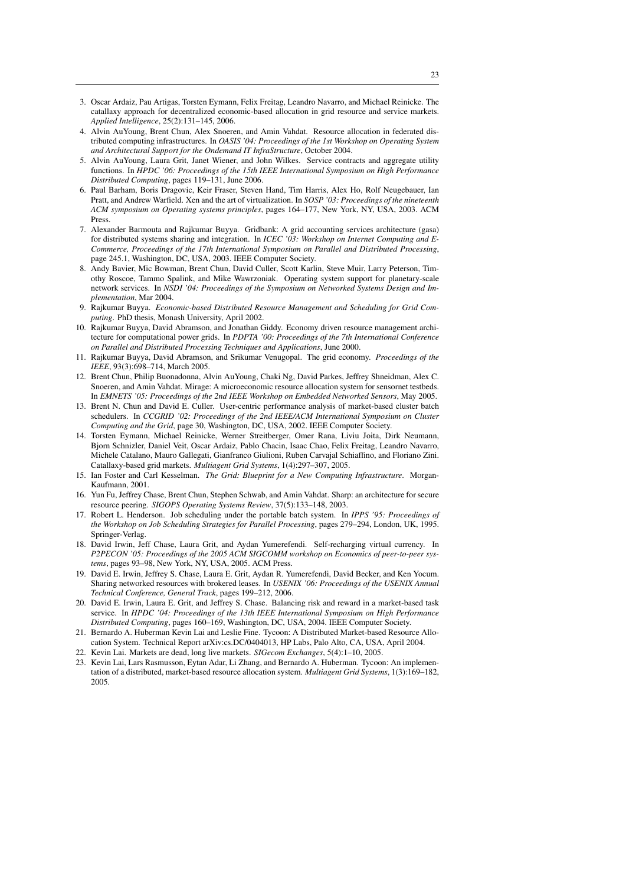- 3. Oscar Ardaiz, Pau Artigas, Torsten Eymann, Felix Freitag, Leandro Navarro, and Michael Reinicke. The catallaxy approach for decentralized economic-based allocation in grid resource and service markets. *Applied Intelligence*, 25(2):131–145, 2006.
- 4. Alvin AuYoung, Brent Chun, Alex Snoeren, and Amin Vahdat. Resource allocation in federated distributed computing infrastructures. In *OASIS '04: Proceedings of the 1st Workshop on Operating System and Architectural Support for the Ondemand IT InfraStructure*, October 2004.
- 5. Alvin AuYoung, Laura Grit, Janet Wiener, and John Wilkes. Service contracts and aggregate utility functions. In *HPDC '06: Proceedings of the 15th IEEE International Symposium on High Performance Distributed Computing*, pages 119–131, June 2006.
- 6. Paul Barham, Boris Dragovic, Keir Fraser, Steven Hand, Tim Harris, Alex Ho, Rolf Neugebauer, Ian Pratt, and Andrew Warfield. Xen and the art of virtualization. In *SOSP '03: Proceedings of the nineteenth ACM symposium on Operating systems principles*, pages 164–177, New York, NY, USA, 2003. ACM Press.
- 7. Alexander Barmouta and Rajkumar Buyya. Gridbank: A grid accounting services architecture (gasa) for distributed systems sharing and integration. In *ICEC '03: Workshop on Internet Computing and E-Commerce, Proceedings of the 17th International Symposium on Parallel and Distributed Processing*, page 245.1, Washington, DC, USA, 2003. IEEE Computer Society.
- 8. Andy Bavier, Mic Bowman, Brent Chun, David Culler, Scott Karlin, Steve Muir, Larry Peterson, Timothy Roscoe, Tammo Spalink, and Mike Wawrzoniak. Operating system support for planetary-scale network services. In *NSDI '04: Proceedings of the Symposium on Networked Systems Design and Implementation*, Mar 2004.
- 9. Rajkumar Buyya. *Economic-based Distributed Resource Management and Scheduling for Grid Computing*. PhD thesis, Monash University, April 2002.
- 10. Rajkumar Buyya, David Abramson, and Jonathan Giddy. Economy driven resource management architecture for computational power grids. In *PDPTA '00: Proceedings of the 7th International Conference on Parallel and Distributed Processing Techniques and Applications*, June 2000.
- 11. Rajkumar Buyya, David Abramson, and Srikumar Venugopal. The grid economy. *Proceedings of the IEEE*, 93(3):698–714, March 2005.
- 12. Brent Chun, Philip Buonadonna, Alvin AuYoung, Chaki Ng, David Parkes, Jeffrey Shneidman, Alex C. Snoeren, and Amin Vahdat. Mirage: A microeconomic resource allocation system for sensornet testbeds. In *EMNETS '05: Proceedings of the 2nd IEEE Workshop on Embedded Networked Sensors*, May 2005.
- 13. Brent N. Chun and David E. Culler. User-centric performance analysis of market-based cluster batch schedulers. In *CCGRID '02: Proceedings of the 2nd IEEE/ACM International Symposium on Cluster Computing and the Grid*, page 30, Washington, DC, USA, 2002. IEEE Computer Society.
- 14. Torsten Eymann, Michael Reinicke, Werner Streitberger, Omer Rana, Liviu Joita, Dirk Neumann, Bjorn Schnizler, Daniel Veit, Oscar Ardaiz, Pablo Chacin, Isaac Chao, Felix Freitag, Leandro Navarro, Michele Catalano, Mauro Gallegati, Gianfranco Giulioni, Ruben Carvajal Schiaffino, and Floriano Zini. Catallaxy-based grid markets. *Multiagent Grid Systems*, 1(4):297–307, 2005.
- 15. Ian Foster and Carl Kesselman. *The Grid: Blueprint for a New Computing Infrastructure*. Morgan-Kaufmann, 2001.
- 16. Yun Fu, Jeffrey Chase, Brent Chun, Stephen Schwab, and Amin Vahdat. Sharp: an architecture for secure resource peering. *SIGOPS Operating Systems Review*, 37(5):133–148, 2003.
- 17. Robert L. Henderson. Job scheduling under the portable batch system. In *IPPS '95: Proceedings of the Workshop on Job Scheduling Strategies for Parallel Processing*, pages 279–294, London, UK, 1995. Springer-Verlag.
- 18. David Irwin, Jeff Chase, Laura Grit, and Aydan Yumerefendi. Self-recharging virtual currency. In *P2PECON '05: Proceedings of the 2005 ACM SIGCOMM workshop on Economics of peer-to-peer systems*, pages 93–98, New York, NY, USA, 2005. ACM Press.
- 19. David E. Irwin, Jeffrey S. Chase, Laura E. Grit, Aydan R. Yumerefendi, David Becker, and Ken Yocum. Sharing networked resources with brokered leases. In *USENIX '06: Proceedings of the USENIX Annual Technical Conference, General Track*, pages 199–212, 2006.
- 20. David E. Irwin, Laura E. Grit, and Jeffrey S. Chase. Balancing risk and reward in a market-based task service. In *HPDC '04: Proceedings of the 13th IEEE International Symposium on High Performance Distributed Computing*, pages 160–169, Washington, DC, USA, 2004. IEEE Computer Society.
- 21. Bernardo A. Huberman Kevin Lai and Leslie Fine. Tycoon: A Distributed Market-based Resource Allocation System. Technical Report arXiv:cs.DC/0404013, HP Labs, Palo Alto, CA, USA, April 2004.
- 22. Kevin Lai. Markets are dead, long live markets. *SIGecom Exchanges*, 5(4):1–10, 2005.
- 23. Kevin Lai, Lars Rasmusson, Eytan Adar, Li Zhang, and Bernardo A. Huberman. Tycoon: An implementation of a distributed, market-based resource allocation system. *Multiagent Grid Systems*, 1(3):169–182, 2005.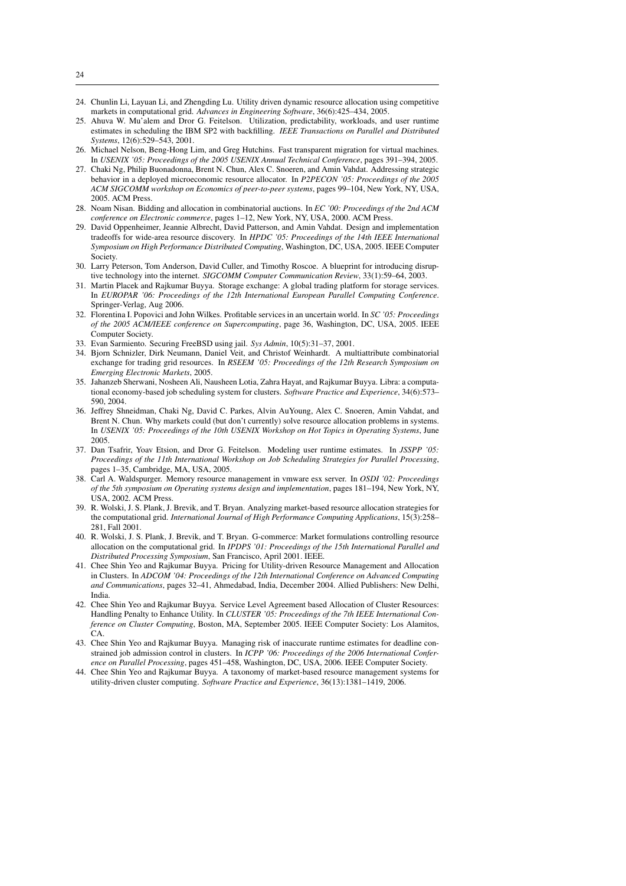- 24. Chunlin Li, Layuan Li, and Zhengding Lu. Utility driven dynamic resource allocation using competitive markets in computational grid. *Advances in Engineering Software*, 36(6):425–434, 2005.
- 25. Ahuva W. Mu'alem and Dror G. Feitelson. Utilization, predictability, workloads, and user runtime estimates in scheduling the IBM SP2 with backfilling. *IEEE Transactions on Parallel and Distributed Systems*, 12(6):529–543, 2001.
- 26. Michael Nelson, Beng-Hong Lim, and Greg Hutchins. Fast transparent migration for virtual machines. In *USENIX '05: Proceedings of the 2005 USENIX Annual Technical Conference*, pages 391–394, 2005.
- 27. Chaki Ng, Philip Buonadonna, Brent N. Chun, Alex C. Snoeren, and Amin Vahdat. Addressing strategic behavior in a deployed microeconomic resource allocator. In *P2PECON '05: Proceedings of the 2005 ACM SIGCOMM workshop on Economics of peer-to-peer systems*, pages 99–104, New York, NY, USA, 2005. ACM Press.
- 28. Noam Nisan. Bidding and allocation in combinatorial auctions. In *EC '00: Proceedings of the 2nd ACM conference on Electronic commerce*, pages 1–12, New York, NY, USA, 2000. ACM Press.
- 29. David Oppenheimer, Jeannie Albrecht, David Patterson, and Amin Vahdat. Design and implementation tradeoffs for wide-area resource discovery. In *HPDC '05: Proceedings of the 14th IEEE International Symposium on High Performance Distributed Computing*, Washington, DC, USA, 2005. IEEE Computer Society.
- 30. Larry Peterson, Tom Anderson, David Culler, and Timothy Roscoe. A blueprint for introducing disruptive technology into the internet. *SIGCOMM Computer Communication Review*, 33(1):59–64, 2003.
- 31. Martin Placek and Rajkumar Buyya. Storage exchange: A global trading platform for storage services. In *EUROPAR '06: Proceedings of the 12th International European Parallel Computing Conference*. Springer-Verlag, Aug 2006.
- 32. Florentina I. Popovici and John Wilkes. Profitable services in an uncertain world. In *SC '05: Proceedings of the 2005 ACM/IEEE conference on Supercomputing*, page 36, Washington, DC, USA, 2005. IEEE Computer Society.
- 33. Evan Sarmiento. Securing FreeBSD using jail. *Sys Admin*, 10(5):31–37, 2001.
- 34. Bjorn Schnizler, Dirk Neumann, Daniel Veit, and Christof Weinhardt. A multiattribute combinatorial exchange for trading grid resources. In *RSEEM '05: Proceedings of the 12th Research Symposium on Emerging Electronic Markets*, 2005.
- 35. Jahanzeb Sherwani, Nosheen Ali, Nausheen Lotia, Zahra Hayat, and Rajkumar Buyya. Libra: a computational economy-based job scheduling system for clusters. *Software Practice and Experience*, 34(6):573– 590, 2004.
- 36. Jeffrey Shneidman, Chaki Ng, David C. Parkes, Alvin AuYoung, Alex C. Snoeren, Amin Vahdat, and Brent N. Chun. Why markets could (but don't currently) solve resource allocation problems in systems. In *USENIX '05: Proceedings of the 10th USENIX Workshop on Hot Topics in Operating Systems*, June 2005.
- 37. Dan Tsafrir, Yoav Etsion, and Dror G. Feitelson. Modeling user runtime estimates. In *JSSPP '05: Proceedings of the 11th International Workshop on Job Scheduling Strategies for Parallel Processing*, pages 1–35, Cambridge, MA, USA, 2005.
- 38. Carl A. Waldspurger. Memory resource management in vmware esx server. In *OSDI '02: Proceedings of the 5th symposium on Operating systems design and implementation*, pages 181–194, New York, NY, USA, 2002. ACM Press.
- 39. R. Wolski, J. S. Plank, J. Brevik, and T. Bryan. Analyzing market-based resource allocation strategies for the computational grid. *International Journal of High Performance Computing Applications*, 15(3):258– 281, Fall 2001.
- 40. R. Wolski, J. S. Plank, J. Brevik, and T. Bryan. G-commerce: Market formulations controlling resource allocation on the computational grid. In *IPDPS '01: Proceedings of the 15th International Parallel and Distributed Processing Symposium*, San Francisco, April 2001. IEEE.
- 41. Chee Shin Yeo and Rajkumar Buyya. Pricing for Utility-driven Resource Management and Allocation in Clusters. In *ADCOM '04: Proceedings of the 12th International Conference on Advanced Computing and Communications*, pages 32–41, Ahmedabad, India, December 2004. Allied Publishers: New Delhi, India.
- 42. Chee Shin Yeo and Rajkumar Buyya. Service Level Agreement based Allocation of Cluster Resources: Handling Penalty to Enhance Utility. In *CLUSTER '05: Proceedings of the 7th IEEE International Conference on Cluster Computing*, Boston, MA, September 2005. IEEE Computer Society: Los Alamitos, CA.
- 43. Chee Shin Yeo and Rajkumar Buyya. Managing risk of inaccurate runtime estimates for deadline constrained job admission control in clusters. In *ICPP '06: Proceedings of the 2006 International Conference on Parallel Processing*, pages 451–458, Washington, DC, USA, 2006. IEEE Computer Society.
- 44. Chee Shin Yeo and Rajkumar Buyya. A taxonomy of market-based resource management systems for utility-driven cluster computing. *Software Practice and Experience*, 36(13):1381–1419, 2006.